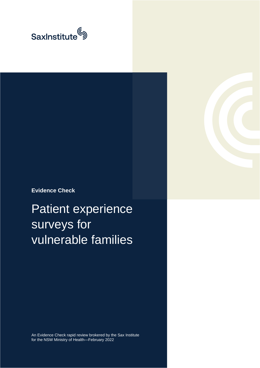

**Evidence Check**

Patient experience surveys for vulnerable families

An Evidence Check rapid review brokered by the Sax Institute for the NSW Ministry of Health—February 2022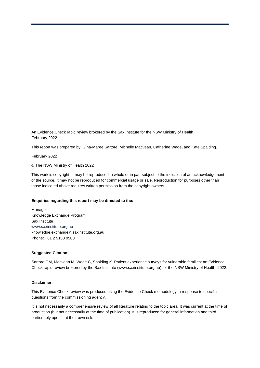An Evidence Check rapid review brokered by the Sax Institute for the NSW Ministry of Health. February 2022.

This report was prepared by: Gina-Maree Sartore, Michelle Macvean, Catherine Wade, and Kate Spalding.

February 2022

© The NSW Ministry of Health 2022

This work is copyright. It may be reproduced in whole or in part subject to the inclusion of an acknowledgement of the source. It may not be reproduced for commercial usage or sale. Reproduction for purposes other than those indicated above requires written permission from the copyright owners.

#### **Enquiries regarding this report may be directed to the:**

Manager Knowledge Exchange Program Sax Institute [www.saxinstitute.org.au](http://www.saxinstitute.org.au/) knowledge.exchange@saxinstitute.org.au Phone: +61 2 9188 9500

#### **Suggested Citation:**

Sartore GM, Macvean M, Wade C, Spalding K. Patient experience surveys for vulnerable families: an Evidence Check rapid review brokered by the Sax Institute (www.saxinstitute.org.au) for the NSW Ministry of Health, 2022.

#### **Disclaimer:**

This Evidence Check review was produced using the Evidence Check methodology in response to specific questions from the commissioning agency.

It is not necessarily a comprehensive review of all literature relating to the topic area. It was current at the time of production (but not necessarily at the time of publication). It is reproduced for general information and third parties rely upon it at their own risk.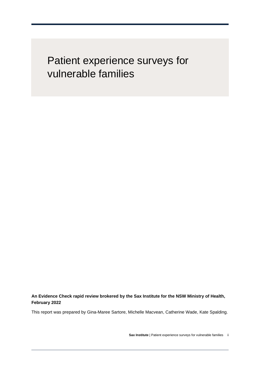## Patient experience surveys for vulnerable families

**An Evidence Check rapid review brokered by the Sax Institute for the NSW Ministry of Health, February 2022**

This report was prepared by Gina-Maree Sartore, Michelle Macvean, Catherine Wade, Kate Spalding.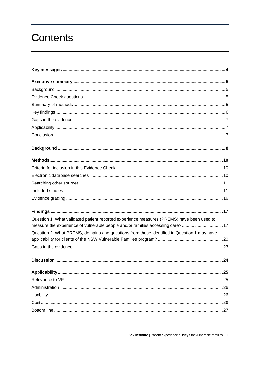## **Contents**

| Question 1: What validated patient reported experience measures (PREMS) have been used to<br>measure the experience of vulnerable people and/or families accessing care? 17 |  |
|-----------------------------------------------------------------------------------------------------------------------------------------------------------------------------|--|
| Question 2: What PREMS, domains and questions from those identified in Question 1 may have                                                                                  |  |
|                                                                                                                                                                             |  |
|                                                                                                                                                                             |  |
|                                                                                                                                                                             |  |
|                                                                                                                                                                             |  |
|                                                                                                                                                                             |  |
|                                                                                                                                                                             |  |
|                                                                                                                                                                             |  |
|                                                                                                                                                                             |  |
|                                                                                                                                                                             |  |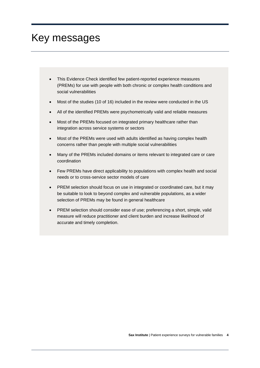## <span id="page-5-0"></span>Key messages

- This Evidence Check identified few patient-reported experience measures (PREMs) for use with people with both chronic or complex health conditions and social vulnerabilities
- Most of the studies (10 of 16) included in the review were conducted in the US
- All of the identified PREMs were psychometrically valid and reliable measures
- Most of the PREMs focused on integrated primary healthcare rather than integration across service systems or sectors
- Most of the PREMs were used with adults identified as having complex health concerns rather than people with multiple social vulnerabilities
- Many of the PREMs included domains or items relevant to integrated care or care coordination
- Few PREMs have direct applicability to populations with complex health and social needs or to cross-service sector models of care
- PREM selection should focus on use in integrated or coordinated care, but it may be suitable to look to beyond complex and vulnerable populations, as a wider selection of PREMs may be found in general healthcare
- PREM selection should consider ease of use; preferencing a short, simple, valid measure will reduce practitioner and client burden and increase likelihood of accurate and timely completion.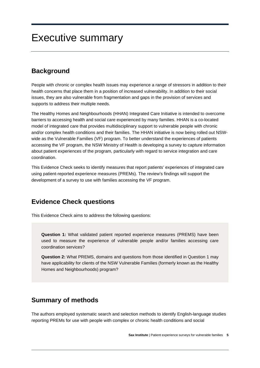## <span id="page-6-0"></span>Executive summary

## <span id="page-6-1"></span>**Background**

People with chronic or complex health issues may experience a range of stressors in addition to their health concerns that place them in a position of increased vulnerability. In addition to their social issues, they are also vulnerable from fragmentation and gaps in the provision of services and supports to address their multiple needs.

The Healthy Homes and Neighbourhoods (HHAN) Integrated Care Initiative is intended to overcome barriers to accessing health and social care experienced by many families. HHAN is a co-located model of integrated care that provides multidisciplinary support to vulnerable people with chronic and/or complex health conditions and their families. The HHAN initiative is now being rolled out NSWwide as the Vulnerable Families (VF) program. To better understand the experiences of patients accessing the VF program, the NSW Ministry of Health is developing a survey to capture information about patient experiences of the program, particularly with regard to service integration and care coordination.

This Evidence Check seeks to identify measures that report patients' experiences of integrated care using patient‐reported experience measures (PREMs). The review's findings will support the development of a survey to use with families accessing the VF program.

## <span id="page-6-2"></span>**Evidence Check questions**

This Evidence Check aims to address the following questions:

**Question 1:** What validated patient reported experience measures (PREMS) have been used to measure the experience of vulnerable people and/or families accessing care coordination services?

**Question 2:** What PREMS, domains and questions from those identified in Question 1 may have applicability for clients of the NSW Vulnerable Families (formerly known as the Healthy Homes and Neighbourhoods) program?

## <span id="page-6-3"></span>**Summary of methods**

The authors employed systematic search and selection methods to identify English-language studies reporting PREMs for use with people with complex or chronic health conditions and social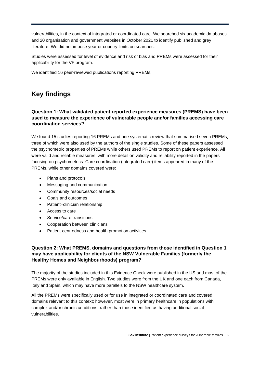vulnerabilities, in the context of integrated or coordinated care. We searched six academic databases and 20 organisation and government websites in October 2021 to identify published and grey literature. We did not impose year or country limits on searches.

Studies were assessed for level of evidence and risk of bias and PREMs were assessed for their applicability for the VF program.

<span id="page-7-0"></span>We identified 16 peer-reviewed publications reporting PREMs.

## **Key findings**

#### **Question 1: What validated patient reported experience measures (PREMS) have been used to measure the experience of vulnerable people and/or families accessing care coordination services?**

We found 15 studies reporting 16 PREMs and one systematic review that summarised seven PREMs, three of which were also used by the authors of the single studies. Some of these papers assessed the psychometric properties of PREMs while others used PREMs to report on patient experience. All were valid and reliable measures, with more detail on validity and reliability reported in the papers focusing on psychometrics. Care coordination (integrated care) items appeared in many of the PREMs, while other domains covered were:

- Plans and protocols
- Messaging and communication
- Community resources/social needs
- Goals and outcomes
- Patient-clinician relationship
- Access to care
- Service/care transitions
- Cooperation between clinicians
- Patient-centredness and health promotion activities.

#### **Question 2: What PREMS, domains and questions from those identified in Question 1 may have applicability for clients of the NSW Vulnerable Families (formerly the Healthy Homes and Neighbourhoods) program?**

The majority of the studies included in this Evidence Check were published in the US and most of the PREMs were only available in English. Two studies were from the UK and one each from Canada, Italy and Spain, which may have more parallels to the NSW healthcare system.

All the PREMs were specifically used or for use in integrated or coordinated care and covered domains relevant to this context; however, most were in primary healthcare in populations with complex and/or chronic conditions, rather than those identified as having additional social vulnerabilities.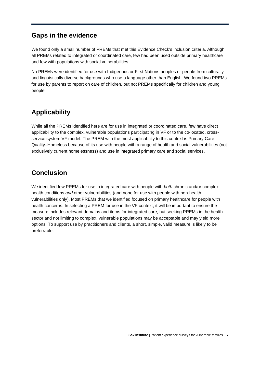### <span id="page-8-0"></span>**Gaps in the evidence**

We found only a small number of PREMs that met this Evidence Check's inclusion criteria. Although all PREMs related to integrated or coordinated care, few had been used outside primary healthcare and few with populations with social vulnerabilities.

No PREMs were identified for use with Indigenous or First Nations peoples or people from culturally and linguistically diverse backgrounds who use a language other than English. We found two PREMs for use by parents to report on care of children, but not PREMs specifically for children and young people.

## <span id="page-8-1"></span>**Applicability**

While all the PREMs identified here are for use in integrated or coordinated care, few have direct applicability to the complex, vulnerable populations participating in VF or to the co-located, crossservice system VF model. The PREM with the most applicability to this context is Primary Care Quality–Homeless because of its use with people with a range of health and social vulnerabilities (not exclusively current homelessness) and use in integrated primary care and social services.

## <span id="page-8-2"></span>**Conclusion**

We identified few PREMs for use in integrated care with people with *both* chronic and/or complex health conditions *and* other vulnerabilities (and none for use with people with non-health vulnerabilities only). Most PREMs that we identified focused on primary healthcare for people with health concerns. In selecting a PREM for use in the VF context, it will be important to ensure the measure includes relevant domains and items for integrated care, but seeking PREMs in the health sector and not limiting to complex, vulnerable populations may be acceptable and may yield more options. To support use by practitioners and clients, a short, simple, valid measure is likely to be preferrable.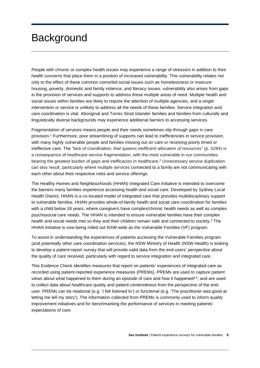## <span id="page-9-0"></span>**Background**

People with chronic or complex health issues may experience a range of stressors in addition to their health concerns that place them in a position of increased vulnerability. This vulnerability relates not only to the effect of these common comorbid social issues such as homelessness or insecure housing, poverty, domestic and family violence, and literacy issues; vulnerability also arises from gaps in the provision of services and supports to address these multiple areas of need. Multiple health and social issues within families are likely to require the attention of multiple agencies, and a single intervention or service is unlikely to address all the needs of these families. Service integration and care coordination is vital. Aboriginal and Torres Strait Islander families and families from culturally and linguistically diverse backgrounds may experience additional barriers to accessing services.

Fragmentation of services means people and their needs sometimes slip through gaps in care provision. <sup>1</sup> Furthermore, poor streamlining of supports can lead to inefficiencies in service provision, with many highly vulnerable people and families missing out on care or receiving poorly timed or ineffective care. The *"lack of coordination, that spawns inefficient allocation of resources"* (p. S284) is a consequence of healthcare service fragmentation, with the most vulnerable in our communities bearing the greatest burden of gaps and inefficacies in healthcare. <sup>2</sup> Unnecessary service duplication can also result, particularly where multiple services connected to a family are not communicating with each other about their respective roles and service offerings.

The Healthy Homes and Neighbourhoods (HHAN) Integrated Care Initiative is intended to overcome the barriers many families experience accessing health and social care. Developed by Sydney Local Health District, HHAN is a co-located model of integrated care that provides multidisciplinary support to vulnerable families. HHAN provides whole-of-family health and social care coordination for families with a child below 18 years, where caregivers have complex/chronic health needs as well as complex psychosocial care needs. The HHAN is intended to ensure vulnerable families have their complex health and social needs met so they and their children remain safe and connected to society. <sup>3</sup> The HHAN initiative is now being rolled out NSW-wide as the Vulnerable Families (VF) program.

To assist in understanding the experiences of patients accessing the Vulnerable Families program (and potentially other care coordination services), the NSW Ministry of Health (NSW Health) is looking to develop a patient-report survey that will provide valid data from the end-users' perspective about the quality of care received, particularly with regard to service integration and integrated care.

This Evidence Check identifies measures that report on patients' experiences of integrated care as recorded using patient‐reported experience measures (PREMs). PREMs are used to capture patient views about what happened to them during an episode of care and how it happened<sup>4,5</sup>, and are used to collect data about healthcare quality and patient‐centeredness from the perspective of the enduser. PREMs can be relational (e.g. 'I felt listened to') or functional (e.g. 'The practitioner was good at letting me tell my story'). The information collected from PREMs is commonly used to inform quality improvement initiatives and for benchmarking the performance of services in meeting patients' expectations of care.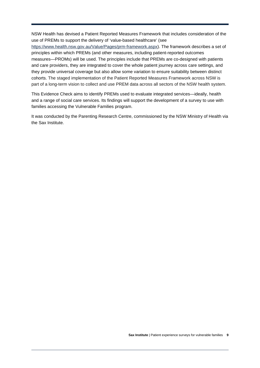NSW Health has devised a Patient Reported Measures Framework that includes consideration of the use of PREMs to support the delivery of 'value-based healthcare' (see

[https://www.health.nsw.gov.au/Value/Pages/prm-framework.aspx\)](https://www.health.nsw.gov.au/Value/Pages/prm-framework.aspx). The framework describes a set of principles within which PREMs (and other measures, including patient-reported outcomes measures—PROMs) will be used. The principles include that PREMs are co-designed with patients and care providers, they are integrated to cover the whole patient journey across care settings, and they provide universal coverage but also allow some variation to ensure suitability between distinct cohorts. The staged implementation of the Patient Reported Measures Framework across NSW is part of a long-term vision to collect and use PREM data across all sectors of the NSW health system.

This Evidence Check aims to identify PREMs used to evaluate integrated services—ideally, health and a range of social care services. Its findings will support the development of a survey to use with families accessing the Vulnerable Families program.

It was conducted by the Parenting Research Centre, commissioned by the NSW Ministry of Health via the Sax Institute.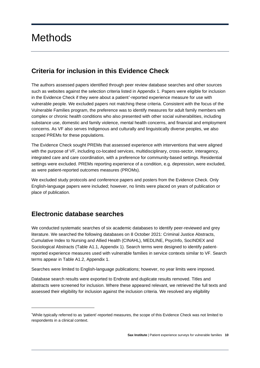## <span id="page-11-0"></span>**Methods**

## <span id="page-11-1"></span>**Criteria for inclusion in this Evidence Check**

The authors assessed papers identified through peer review database searches and other sources such as websites against the selection criteria listed in Appendix 1. Papers were eligible for inclusion in the Evidence Check if they were about a patient[\\*](#page-11-3) -reported experience measure for use with vulnerable people. We excluded papers not matching these criteria. Consistent with the focus of the Vulnerable Families program, the preference was to identify measures for adult family members with complex or chronic health conditions who also presented with other social vulnerabilities, including substance use, domestic and family violence, mental health concerns, and financial and employment concerns. As VF also serves Indigenous and culturally and linguistically diverse peoples, we also scoped PREMs for these populations.

The Evidence Check sought PREMs that assessed experience with interventions that were aligned with the purpose of VF, including co-located services, multidisciplinary, cross-sector, interagency, integrated care and care coordination, with a preference for community-based settings. Residential settings were excluded. PREMs reporting experience of a condition, e.g. depression, were excluded, as were patient-reported outcomes measures (PROMs).

We excluded study protocols and conference papers and posters from the Evidence Check. Only English-language papers were included; however, no limits were placed on years of publication or place of publication.

## <span id="page-11-2"></span>**Electronic database searches**

We conducted systematic searches of six academic databases to identify peer-reviewed and grey literature. We searched the following databases on 8 October 2021: Criminal Justice Abstracts, Cumulative Index to Nursing and Allied Health (CINAHL), MEDLINE, PsycInfo, SocINDEX and Sociological Abstracts (Table A1.1, Appendix 1). Search terms were designed to identify patientreported experience measures used with vulnerable families in service contexts similar to VF. Search terms appear in Table A1.2, Appendix 1.

Searches were limited to English-language publications; however, no year limits were imposed.

Database search results were exported to Endnote and duplicate results removed. Titles and abstracts were screened for inclusion. Where these appeared relevant, we retrieved the full texts and assessed their eligibility for inclusion against the inclusion criteria. We resolved any eligibility

<span id="page-11-3"></span><sup>\*</sup> While typically referred to as 'patient'-reported measures, the scope of this Evidence Check was not limited to respondents in a clinical context.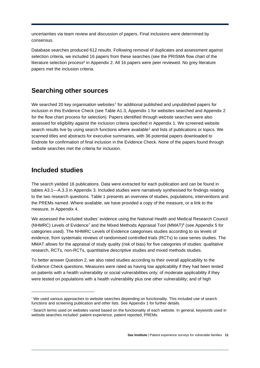uncertainties via team review and discussion of papers. Final inclusions were determined by consensus.

Database searches produced 612 results. Following removal of duplicates and assessment against selection criteria, we included 16 papers from these searches (see the PRISMA flow chart of the literature selection process<sup>6</sup> in Appendix 2. All 16 papers were peer reviewed. No grey literature papers met the inclusion criteria.

## <span id="page-12-0"></span>**Searching other sources**

We searched 20 key organisation websites<sup>[†](#page-12-2)</sup> for additional published and unpublished papers for inclusion in this Evidence Check (see Table A1.3, Appendix 1 for websites searched and Appendix 2 for the flow chart process for selection). Papers identified through website searches were also assessed for eligibility against the inclusion criteria specified in Appendix 1. We screened website search results live by using search functions where available<sup>[‡](#page-12-3)</sup> and lists of publications or topics. We scanned titles and abstracts for executive summaries, with 36 potential papers downloaded to Endnote for confirmation of final inclusion in the Evidence Check. None of the papers found through website searches met the criteria for inclusion.

## <span id="page-12-1"></span>**Included studies**

The search yielded 16 publications. Data were extracted for each publication and can be found in tables A3.1—A.3.3 in Appendix 3. Included studies were narratively synthesised for findings relating to the two research questions. Table 1 presents an overview of studies, populations, interventions and the PREMs named. Where available, we have provided a copy of the measure, or a link to the measure, in Appendix 4.

We assessed the included studies' evidence using the National Health and Medical Research Council (NHMRC) Levels of Evidence7 and the Mixed Methods Appraisal Tool (MMAT)8 (see Appendix 5 for categories used). The NHMRC Levels of Evidence categorises studies according to six levels of evidence, from systematic reviews of randomised controlled trials (RCTs) to case series studies. The MMAT allows for the appraisal of study quality (risk of bias) for five categories of studies: qualitative research, RCTs, non-RCTs, quantitative descriptive studies and mixed methods studies.

To better answer Question 2, we also rated studies according to their overall applicability to the Evidence Check questions. Measures were rated as having low applicability if they had been tested on patients with a health vulnerability or social vulnerabilities only; of moderate applicability if they were tested on populations with a health vulnerability plus one other vulnerability; and of high

<span id="page-12-2"></span><sup>†</sup> We used various approaches to website searches depending on functionality. This included use of search functions and screening publication and other lists. See Appendix 1 for further details.

<span id="page-12-3"></span><sup>‡</sup> Search terms used on websites varied based on the functionality of each website. In general, keywords used in website searches included: patient experience, patient reported, PREMs.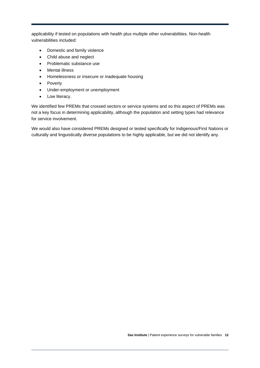applicability if tested on populations with health plus multiple other vulnerabilities. Non-health vulnerabilities included:

- Domestic and family violence
- Child abuse and neglect
- Problematic substance use
- Mental illness
- Homelessness or insecure or inadequate housing
- Poverty
- Under-employment or unemployment
- Low literacy.

We identified few PREMs that crossed sectors or service systems and so this aspect of PREMs was not a key focus in determining applicability, although the population and setting types had relevance for service involvement.

We would also have considered PREMs designed or tested specifically for Indigenous/First Nations or culturally and linguistically diverse populations to be highly applicable, but we did not identify any.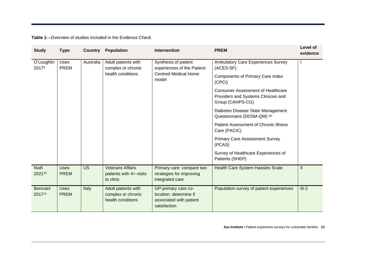**Table 1**—Overview of studies included in the Evidence Check

| <b>Study</b>              | <b>Type</b>                | <b>Country</b> | <b>Population</b>                                               | <b>Intervention</b>                                                                      | <b>PREM</b>                                                                                         | Level of<br>evidence |
|---------------------------|----------------------------|----------------|-----------------------------------------------------------------|------------------------------------------------------------------------------------------|-----------------------------------------------------------------------------------------------------|----------------------|
| O'Loughlin<br>20179       | <b>Uses</b><br>PREM        | Australia      | Adult patients with<br>complex or chronic                       | Synthesis of patient<br>experiences of the Patient-                                      | Ambulatory Care Experiences Survey<br>(ACES-SF)                                                     |                      |
|                           |                            |                | health conditions                                               | <b>Centred Medical Home</b><br>model                                                     | <b>Components of Primary Care Index</b><br>(CPCI)                                                   |                      |
|                           |                            |                |                                                                 |                                                                                          | <b>Consumer Assessment of Healthcare</b><br>Providers and Systems Clinician and<br>Group (CAHPS-CG) |                      |
|                           |                            |                |                                                                 |                                                                                          | Diabetes Disease State Management<br>Questionnaire (DDSM-QM) (a)                                    |                      |
|                           |                            |                |                                                                 |                                                                                          | Patient Assessment of Chronic Illness<br>Care (PACIC)                                               |                      |
|                           |                            |                | <b>Primary Care Assessment Survey</b><br>(PCAS)                 |                                                                                          |                                                                                                     |                      |
|                           |                            |                |                                                                 |                                                                                          | Survey of Healthcare Experiences of<br>Patients (SHEP)                                              |                      |
| Noël<br>202110            | <b>Uses</b><br><b>PREM</b> | <b>US</b>      | <b>Veterans Affairs</b><br>patients with 4+ visits<br>to clinic | Primary care: compare two<br>strategies for improving<br>integrated care                 | <b>Health Care System Hassles Scale</b>                                                             | $\mathbf{II}$        |
| <b>Bonciani</b><br>201711 | <b>Uses</b><br><b>PREM</b> | Italy          | Adult patients with<br>complex or chronic<br>health conditions  | GP-primary care co-<br>location: determine if<br>associated with patient<br>satisfaction | Population survey of patient experiences                                                            | $III-2$              |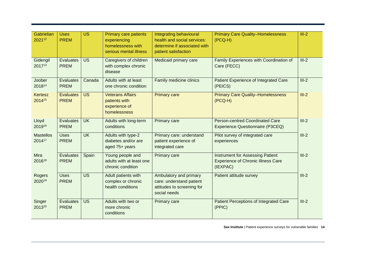| Gabrielian<br>202112       | <b>Uses</b><br><b>PREM</b>      | <b>US</b>                | <b>Primary care patients</b><br>experiencing<br>homelessness with<br>serious mental illness | Integrating behavioural<br>health and social services:<br>determine if associated with<br>patient satisfaction | <b>Primary Care Quality-Homelessness</b><br>$(PCQ-H)$                                            | $III-2$ |
|----------------------------|---------------------------------|--------------------------|---------------------------------------------------------------------------------------------|----------------------------------------------------------------------------------------------------------------|--------------------------------------------------------------------------------------------------|---------|
| Gidengil<br>201713         | Evaluates<br><b>PREM</b>        | <b>US</b>                | Caregivers of children<br>with complex chronic<br>disease                                   | Medicaid primary care                                                                                          | Family Experiences with Coordination of<br>Care (FECC)                                           | $III-2$ |
| Joober<br>201814           | Evaluates<br><b>PREM</b>        | Canada                   | Adults with at least<br>one chronic condition                                               | Family medicine clinics                                                                                        | Patient Experience of Integrated Care<br>(PEICS)                                                 | $III-2$ |
| <b>Kertesz</b><br>201415   | <b>Evaluates</b><br><b>PREM</b> | <b>US</b>                | <b>Veterans Affairs</b><br>patients with<br>experience of<br>homelessness                   | <b>Primary care</b>                                                                                            | <b>Primary Care Quality-Homelessness</b><br>$(PCQ-H)$                                            | $III-2$ |
| Lloyd<br>201916            | Evaluates<br><b>PREM</b>        | $\overline{\mathsf{UK}}$ | Adults with long-term<br>conditions                                                         | <b>Primary care</b>                                                                                            | <b>Person-centred Coordinated Care</b><br>Experience Questionnaire (P3CEQ)                       | $III-2$ |
| <b>Mastellos</b><br>201417 | <b>Uses</b><br><b>PREM</b>      | $\overline{\mathsf{UK}}$ | Adults with type-2<br>diabetes and/or are<br>aged 75+ years                                 | Primary care: understand<br>patient experience of<br>integrated care                                           | Pilot survey of integrated care<br>experiences                                                   | $III-2$ |
| <b>Mira</b><br>201618      | Evaluates<br><b>PREM</b>        | Spain                    | Young people and<br>adults with at least one<br>chronic condition                           | <b>Primary care</b>                                                                                            | <b>Instrument for Assessing Patient</b><br><b>Experience of Chronic Illness Care</b><br>(IEXPAC) | $III-2$ |
| Rogers<br>202019           | <b>Uses</b><br><b>PREM</b>      | <b>US</b>                | Adult patients with<br>complex or chronic<br>health conditions                              | Ambulatory and primary<br>care: understand patient<br>attitudes to screening for<br>social needs               | Patient attitude survey                                                                          | $III-2$ |
| Singer<br>201320           | Evaluates<br><b>PREM</b>        | <b>US</b>                | Adults with two or<br>more chronic<br>conditions                                            | <b>Primary care</b>                                                                                            | Patient Perceptions of Integrated Care<br>(PPIC)                                                 | $III-2$ |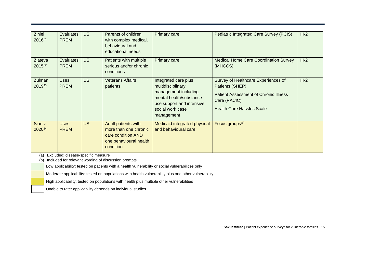| <b>Ziniel</b><br>2016 <sup>21</sup>  | <b>Evaluates</b><br><b>PREM</b> | <b>US</b> | Parents of children<br>with complex medical,<br>behavioural and<br>educational needs                      | <b>Primary care</b>                                                                                                                                         | Pediatric Integrated Care Survey (PCIS)                                                                                                                    | $III-2$ |
|--------------------------------------|---------------------------------|-----------|-----------------------------------------------------------------------------------------------------------|-------------------------------------------------------------------------------------------------------------------------------------------------------------|------------------------------------------------------------------------------------------------------------------------------------------------------------|---------|
| <b>Zlateva</b><br>2015 <sup>22</sup> | <b>Evaluates</b><br><b>PREM</b> | <b>US</b> | Patients with multiple<br>serious and/or chronic<br>conditions                                            | <b>Primary care</b>                                                                                                                                         | <b>Medical Home Care Coordination Survey</b><br>(MHCCS)                                                                                                    | $III-2$ |
| Zulman<br>201923                     | <b>Uses</b><br><b>PREM</b>      | <b>US</b> | Veterans Affairs<br>patients                                                                              | Integrated care plus<br>multidisciplinary<br>management including<br>mental health/substance<br>use support and intensive<br>social work case<br>management | Survey of Healthcare Experiences of<br>Patients (SHEP)<br><b>Patient Assessment of Chronic Illness</b><br>Care (PACIC)<br><b>Health Care Hassles Scale</b> | $III-2$ |
| <b>Siantz</b><br>2020 <sup>24</sup>  | <b>Uses</b><br><b>PREM</b>      | <b>US</b> | Adult patients with<br>more than one chronic<br>care condition AND<br>one behavioural health<br>condition | Medicaid integrated physical<br>and behavioural care                                                                                                        | Focus groups <sup>(b)</sup>                                                                                                                                |         |

(a) Excluded: disease-specific measure

(b) Included for relevant wording of discussion prompts

Low applicability: tested on patients with a health vulnerability or social vulnerabilities only

Moderate applicability: tested on populations with health vulnerability plus one other vulnerability

High applicability: tested on populations with health plus multiple other vulnerabilities

Unable to rate: applicability depends on individual studies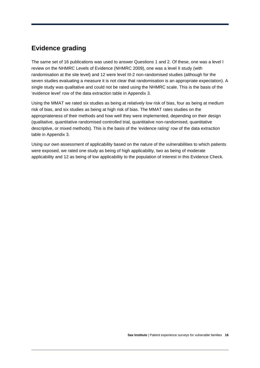## <span id="page-17-0"></span>**Evidence grading**

The same set of 16 publications was used to answer Questions 1 and 2. Of these, one was a level I review on the NHMRC Levels of Evidence (NHMRC 2009), one was a level II study (with randomisation at the site level) and 12 were level III-2 non-randomised studies (although for the seven studies evaluating a measure it is not clear that randomisation is an appropriate expectation). A single study was qualitative and could not be rated using the NHMRC scale. This is the basis of the 'evidence level' row of the data extraction table in Appendix 3.

Using the MMAT we rated six studies as being at relatively low risk of bias, four as being at medium risk of bias, and six studies as being at high risk of bias. The MMAT rates studies on the appropriateness of their methods and how well they were implemented, depending on their design (qualitative, quantitative randomised controlled trial, quantitative non-randomised, quantitative descriptive, or mixed methods). This is the basis of the 'evidence rating' row of the data extraction table in Appendix 3.

Using our own assessment of applicability based on the nature of the vulnerabilities to which patients were exposed, we rated one study as being of high applicability, two as being of moderate applicability and 12 as being of low applicability to the population of interest in this Evidence Check.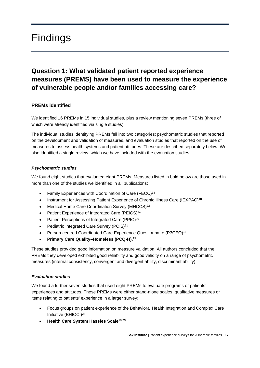## <span id="page-18-0"></span>Findings

## <span id="page-18-1"></span>**Question 1: What validated patient reported experience measures (PREMS) have been used to measure the experience of vulnerable people and/or families accessing care?**

#### **PREMs identified**

We identified 16 PREMs in 15 individual studies, plus a review mentioning seven PREMs (three of which were already identified via single studies).

The individual studies identifying PREMs fell into two categories: psychometric studies that reported on the development and validation of measures, and evaluation studies that reported on the use of measures to assess health systems and patient attitudes. These are described separately below. We also identified a single review, which we have included with the evaluation studies.

#### *Psychometric studies*

We found eight studies that evaluated eight PREMs. Measures listed in bold below are those used in more than one of the studies we identified in all publications:

- Family Experiences with Coordination of Care (FECC)13
- Instrument for Assessing Patient Experience of Chronic Illness Care (IEXPAC)<sup>18</sup>
- Medical Home Care Coordination Survey (MHCCS)<sup>22</sup>
- Patient Experience of Integrated Care (PEICS)<sup>14</sup>
- Patient Perceptions of Integrated Care (PPIC)<sup>20</sup>
- Pediatric Integrated Care Survey (PCIS)<sup>21</sup>
- Person-centred Coordinated Care Experience Questionnaire (P3CEQ)<sup>16</sup>
- **Primary Care Quality–Homeless (PCQ-H). 15**

These studies provided good information on measure validation. All authors concluded that the PREMs they developed exhibited good reliability and good validity on a range of psychometric measures (internal consistency, convergent and divergent ability, discriminant ability).

#### *Evaluation studies*

We found a further seven studies that used eight PREMs to evaluate programs or patients' experiences and attitudes. These PREMs were either stand-alone scales, qualitative measures or items relating to patients' experience in a larger survey:

- Focus groups on patient experience of the Behavioral Health Integration and Complex Care Initiative (BHICCI)24
- **Health Care System Hassles Scale**10,**<sup>23</sup>**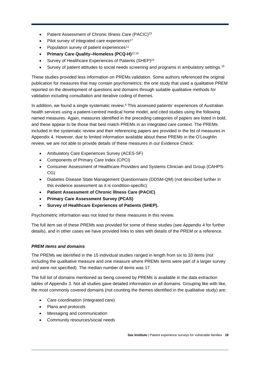- Patient Assessment of Chronic Illness Care (PACIC)<sup>23</sup>
- Pilot survey of integrated care experiences<sup>17</sup>
- Population survey of patient experiences<sup>11</sup>
- **Primary Care Quality–Homeless (PCQ-H)**12,15
- Survey of Healthcare Experiences of Patients (SHEP)<sup>23</sup>
- Survey of patient attitudes to social needs screening and programs in ambulatory settings.<sup>19</sup>

These studies provided less information on PREMs validation. Some authors referenced the original publication for measures that may contain psychometrics; the one study that used a qualitative PREM reported on the development of questions and domains through suitable qualitative methods for validation including consultation and iterative coding of themes.

In addition, we found a single systematic review. <sup>9</sup> This assessed patients' experiences of Australian health services using a patient-centred medical home model, and cited studies using the following named measures. Again, measures identified in the preceding categories of papers are listed in bold, and these appear to be those that best match PREMs in an integrated care context. The PREMs included in the systematic review and their referencing papers are provided in the list of measures in Appendix 4. However, due to limited information available about these PREMs in the O'Loughlin review, we are not able to provide details of these measures in our Evidence Check:

- Ambulatory Care Experiences Survey (ACES-SF)
- Components of Primary Care Index (CPCI)
- Consumer Assessment of Healthcare Providers and Systems Clinician and Group (CAHPS-CG)
- Diabetes Disease State Management Questionnaire (DDSM-QM) (not described further in this evidence assessment as it is condition-specific)
- **Patient Assessment of Chronic Illness Care (PACIC)**
- **Primary Care Assessment Survey (PCAS)**
- **Survey of Healthcare Experiences of Patients (SHEP).**

Psychometric information was not listed for these measures in this review.

The full item set of these PREMs was provided for some of these studies (see Appendix 4 for further details), and in other cases we have provided links to sites with details of the PREM or a reference.

#### *PREM items and domains*

The PREMs we identified in the 15 individual studies ranged in length from six to 33 items (not including the qualitative measure and one measure where PREMs items were part of a larger survey and were not specified). The median number of items was 17.

The full list of domains mentioned as being covered by PREMs is available in the data extraction tables of Appendix 3. Not all studies gave detailed information on all domains. Grouping like with like, the most commonly covered domains (not counting the themes identified in the qualitative study) are:

- Care coordination (integrated care)
- Plans and protocols
- Messaging and communication
- Community resources/social needs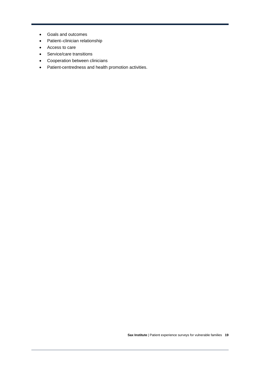- Goals and outcomes
- Patient–clinician relationship
- Access to care
- Service/care transitions
- Cooperation between clinicians
- Patient-centredness and health promotion activities.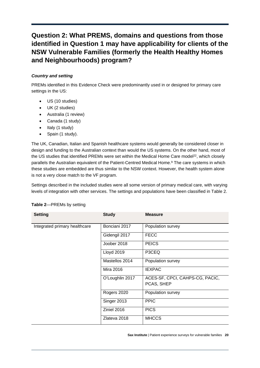## <span id="page-21-0"></span>**Question 2: What PREMS, domains and questions from those identified in Question 1 may have applicability for clients of the NSW Vulnerable Families (formerly the Health Healthy Homes and Neighbourhoods) program?**

#### *Country and setting*

PREMs identified in this Evidence Check were predominantly used in or designed for primary care settings in the US:

- US (10 studies)
- UK (2 studies)
- Australia (1 review)
- Canada (1 study)
- Italy (1 study)
- Spain (1 study).

The UK, Canadian, Italian and Spanish healthcare systems would generally be considered closer in design and funding to the Australian context than would the US systems. On the other hand, most of the US studies that identified PREMs were set within the Medical Home Care model<sup>22</sup>, which closely parallels the Australian equivalent of the Patient-Centred Medical Home. <sup>9</sup> The care systems in which these studies are embedded are thus similar to the NSW context. However, the health system alone is not a very close match to the VF program.

Settings described in the included studies were all some version of primary medical care, with varying levels of integration with other services. The settings and populations have been classified in Table 2.

| <b>Setting</b>                | <b>Study</b>      | <b>Measure</b>                  |
|-------------------------------|-------------------|---------------------------------|
| Integrated primary healthcare | Bonciani 2017     | Population survey               |
|                               | Gidengil 2017     | <b>FECC</b>                     |
|                               | Joober 2018       | <b>PEICS</b>                    |
|                               | <b>Lloyd 2019</b> | P3CEQ                           |
|                               | Mastellos 2014    | Population survey               |
|                               | Mira 2016         | <b>IEXPAC</b>                   |
|                               | O'Loughlin 2017   | ACES-SF, CPCI, CAHPS-CG, PACIC, |
|                               |                   | PCAS, SHEP                      |
|                               | Rogers 2020       | Population survey               |
|                               | Singer 2013       | <b>PPIC</b>                     |
|                               | Ziniel 2016       | <b>PICS</b>                     |
|                               | Zlateva 2018      | <b>MHCCS</b>                    |

#### **Table 2**—PREMs by setting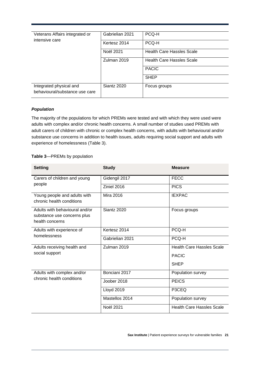| Veterans Affairs integrated or                            | Gabrielian 2021  | PCQ-H                            |
|-----------------------------------------------------------|------------------|----------------------------------|
| intensive care                                            | Kertesz 2014     | PCQ-H                            |
|                                                           | <b>Noël 2021</b> | <b>Health Care Hassles Scale</b> |
|                                                           | Zulman 2019      | <b>Health Care Hassles Scale</b> |
|                                                           |                  | <b>PACIC</b>                     |
|                                                           |                  | <b>SHEP</b>                      |
| Integrated physical and<br>behavioural/substance use care | Siantz 2020      | Focus groups                     |

#### *Population*

The majority of the populations for which PREMs were tested and with which they were used were adults with complex and/or chronic health concerns. A small number of studies used PREMs with adult carers of children with chronic or complex health concerns, with adults with behavioural and/or substance use concerns in addition to health issues, adults requiring social support and adults with experience of homelessness (Table 3).

#### **Table 3**—PREMs by population

| <b>Setting</b>                                                                   | <b>Study</b>      | <b>Measure</b>                   |
|----------------------------------------------------------------------------------|-------------------|----------------------------------|
| Carers of children and young                                                     | Gidengil 2017     | <b>FECC</b>                      |
| people                                                                           | Ziniel 2016       | <b>PICS</b>                      |
| Young people and adults with<br>chronic health conditions                        | <b>Mira 2016</b>  | <b>IEXPAC</b>                    |
| Adults with behavioural and/or<br>substance use concerns plus<br>health concerns | Siantz 2020       | Focus groups                     |
| Adults with experience of<br>homelessness                                        | Kertesz 2014      | PCQ-H                            |
|                                                                                  | Gabrielian 2021   | PCQ-H                            |
| Adults receiving health and                                                      | Zulman 2019       | <b>Health Care Hassles Scale</b> |
| social support                                                                   |                   | <b>PACIC</b>                     |
|                                                                                  |                   | <b>SHEP</b>                      |
| Adults with complex and/or<br>chronic health conditions                          | Bonciani 2017     | Population survey                |
|                                                                                  | Joober 2018       | <b>PEICS</b>                     |
|                                                                                  | <b>Lloyd 2019</b> | P3CEQ                            |
|                                                                                  | Mastellos 2014    | Population survey                |
|                                                                                  | Noël 2021         | <b>Health Care Hassles Scale</b> |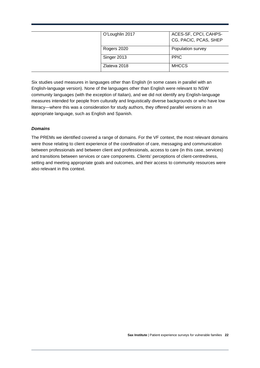| O'Loughlin 2017 | ACES-SF, CPCI, CAHPS- |
|-----------------|-----------------------|
|                 | CG, PACIC, PCAS, SHEP |
|                 |                       |
| Rogers 2020     | Population survey     |
|                 |                       |
| Singer 2013     | <b>PPIC</b>           |
|                 |                       |
| Zlateva 2018    | <b>MHCCS</b>          |
|                 |                       |

Six studies used measures in languages other than English (in some cases in parallel with an English-language version). None of the languages other than English were relevant to NSW community languages (with the exception of Italian), and we did not identify any English-language measures intended for people from culturally and linguistically diverse backgrounds or who have low literacy—where this was a consideration for study authors, they offered parallel versions in an appropriate language, such as English and Spanish.

#### *Domains*

The PREMs we identified covered a range of domains. For the VF context, the most relevant domains were those relating to client experience of the coordination of care, messaging and communication between professionals and between client and professionals, access to care (in this case, services) and transitions between services or care components. Clients' perceptions of client-centredness, setting and meeting appropriate goals and outcomes, and their access to community resources were also relevant in this context.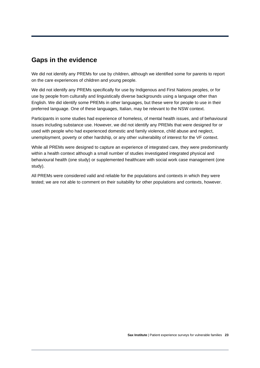### <span id="page-24-0"></span>**Gaps in the evidence**

We did not identify any PREMs for use by children, although we identified some for parents to report on the care experiences of children and young people.

We did not identify any PREMs specifically for use by Indigenous and First Nations peoples, or for use by people from culturally and linguistically diverse backgrounds using a language other than English. We did identify some PREMs in other languages, but these were for people to use in their preferred language. One of these languages, Italian, may be relevant to the NSW context.

Participants in some studies had experience of homeless, of mental health issues, and of behavioural issues including substance use. However, we did not identify any PREMs that were designed for or used with people who had experienced domestic and family violence, child abuse and neglect, unemployment, poverty or other hardship, or any other vulnerability of interest for the VF context.

While all PREMs were designed to capture an experience of integrated care, they were predominantly within a health context although a small number of studies investigated integrated physical and behavioural health (one study) or supplemented healthcare with social work case management (one study).

All PREMs were considered valid and reliable for the populations and contexts in which they were tested; we are not able to comment on their suitability for other populations and contexts, however.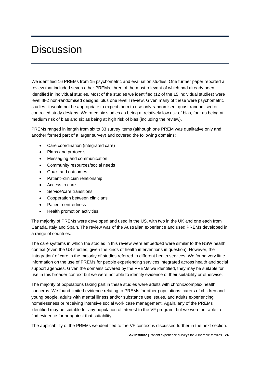## <span id="page-25-0"></span>**Discussion**

We identified 16 PREMs from 15 psychometric and evaluation studies. One further paper reported a review that included seven other PREMs, three of the most relevant of which had already been identified in individual studies. Most of the studies we identified (12 of the 15 individual studies) were level III-2 non-randomised designs, plus one level I review. Given many of these were psychometric studies, it would not be appropriate to expect them to use only randomised, quasi-randomised or controlled study designs. We rated six studies as being at relatively low risk of bias, four as being at medium risk of bias and six as being at high risk of bias (including the review).

PREMs ranged in length from six to 33 survey items (although one PREM was qualitative only and another formed part of a larger survey) and covered the following domains:

- Care coordination (integrated care)
- Plans and protocols
- Messaging and communication
- Community resources/social needs
- Goals and outcomes
- Patient–clinician relationship
- Access to care
- Service/care transitions
- Cooperation between clinicians
- Patient-centredness
- Health promotion activities.

The majority of PREMs were developed and used in the US, with two in the UK and one each from Canada, Italy and Spain. The review was of the Australian experience and used PREMs developed in a range of countries.

The care systems in which the studies in this review were embedded were similar to the NSW health context (even the US studies, given the kinds of health interventions in question). However, the 'integration' of care in the majority of studies referred to different health services. We found very little information on the use of PREMs for people experiencing services integrated across health and social support agencies. Given the domains covered by the PREMs we identified, they may be suitable for use in this broader context but we were not able to identify evidence of their suitability or otherwise.

The majority of populations taking part in these studies were adults with chronic/complex health concerns. We found limited evidence relating to PREMs for other populations: carers of children and young people, adults with mental illness and/or substance use issues, and adults experiencing homelessness or receiving intensive social work case management. Again, any of the PREMs identified may be suitable for any population of interest to the VF program, but we were not able to find evidence for or against that suitability.

The applicability of the PREMs we identified to the VF context is discussed further in the next section.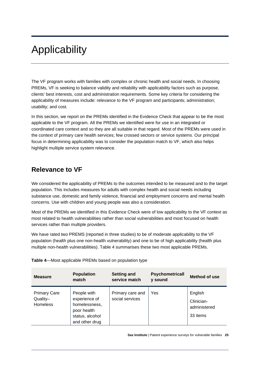# <span id="page-26-0"></span>Applicability

The VF program works with families with complex or chronic health and social needs. In choosing PREMs, VF is seeking to balance validity and reliability with applicability factors such as purpose, clients' best interests, cost and administration requirements. Some key criteria for considering the applicability of measures include: relevance to the VF program and participants; administration; usability; and cost.

In this section, we report on the PREMs identified in the Evidence Check that appear to be the most applicable to the VF program. All the PREMs we identified were for use in an integrated or coordinated care context and so they are all suitable in that regard. Most of the PREMs were used in the context of primary care health services; few crossed sectors or service systems. Our principal focus in determining applicability was to consider the population match to VF, which also helps highlight multiple service system relevance.

### <span id="page-26-1"></span>**Relevance to VF**

We considered the applicability of PREMs to the outcomes intended to be measured and to the target population. This includes measures for adults with complex health and social needs including substance use, domestic and family violence, financial and employment concerns and mental health concerns. Use with children and young people was also a consideration.

Most of the PREMs we identified in this Evidence Check were of low applicability to the VF context as most related to health vulnerabilities rather than social vulnerabilities and most focused on health services rather than multiple providers.

We have rated two PREMS (reported in three studies) to be of moderate applicability to the VF population (health plus one non-health vulnerability) and one to be of high applicability (health plus multiple non-health vulnerabilities). Table 4 summarises these two most applicable PREMs.

| <b>Measure</b>                                     | <b>Population</b><br>match                                                                        | <b>Setting and</b><br>service match | <b>Psychometricall</b><br>y sound | Method of use                                     |
|----------------------------------------------------|---------------------------------------------------------------------------------------------------|-------------------------------------|-----------------------------------|---------------------------------------------------|
| <b>Primary Care</b><br>Quality-<br><b>Homeless</b> | People with<br>experience of<br>homelessness,<br>poor health<br>status, alcohol<br>and other drug | Primary care and<br>social services | Yes                               | English<br>Clinician-<br>administered<br>33 items |

**Table 4**—Most applicable PREMs based on population type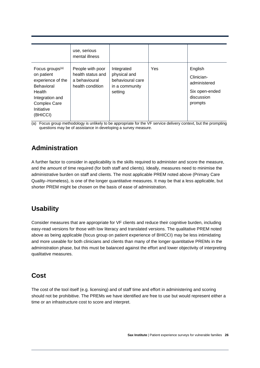|                                                                                                                                                                   | use, serious<br>mental illness                                             |                                                                             |     |                                                                                  |
|-------------------------------------------------------------------------------------------------------------------------------------------------------------------|----------------------------------------------------------------------------|-----------------------------------------------------------------------------|-----|----------------------------------------------------------------------------------|
| Focus groups <sup>(a)</sup><br>on patient<br>experience of the<br><b>Behavioral</b><br>Health<br>Integration and<br><b>Complex Care</b><br>Initiative<br>(BHICCI) | People with poor<br>health status and<br>a behavioural<br>health condition | Integrated<br>physical and<br>behavioural care<br>in a community<br>setting | Yes | English<br>Clinician-<br>administered<br>Six open-ended<br>discussion<br>prompts |

<span id="page-27-0"></span>(a) Focus group methodology is unlikely to be appropriate for the VF service delivery context, but the prompting questions may be of assistance in developing a survey measure.

## **Administration**

A further factor to consider in applicability is the skills required to administer and score the measure, and the amount of time required (for both staff and clients). Ideally, measures need to minimise the administrative burden on staff and clients. The most applicable PREM noted above (Primary Care Quality–Homeless), is one of the longer quantitative measures. It may be that a less applicable, but shorter PREM might be chosen on the basis of ease of administration.

## <span id="page-27-1"></span>**Usability**

Consider measures that are appropriate for VF clients and reduce their cognitive burden, including easy-read versions for those with low literacy and translated versions. The qualitative PREM noted above as being applicable (focus group on patient experience of BHICCI) may be less intimidating and more useable for both clinicians and clients than many of the longer quantitative PREMs in the administration phase, but this must be balanced against the effort and lower objectivity of interpreting qualitative measures.

### <span id="page-27-2"></span>**Cost**

The cost of the tool itself (e.g. licensing) and of staff time and effort in administering and scoring should not be prohibitive. The PREMs we have identified are free to use but would represent either a time or an infrastructure cost to score and interpret.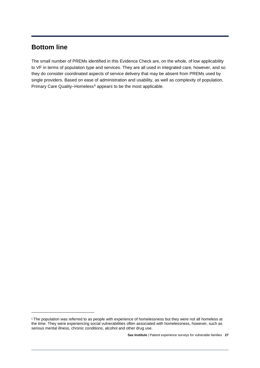### <span id="page-28-0"></span>**Bottom line**

The small number of PREMs identified in this Evidence Check are, on the whole, of low applicability to VF in terms of population type and services. They are all used in integrated care, however, and so they do consider coordinated aspects of service delivery that may be absent from PREMs used by single providers. Based on ease of administration and usability, as well as complexity of population, Primary Care Quality–Homeless[§](#page-28-1) appears to be the most applicable.

<span id="page-28-1"></span><sup>§</sup> The population was referred to as people with experience of homelessness but they were not all homeless at the time. They were experiencing social vulnerabilities often associated with homelessness, however, such as serious mental illness, chronic conditions, alcohol and other drug use.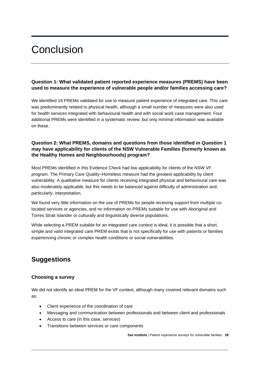## <span id="page-29-0"></span>**Conclusion**

#### **Question 1: What validated patient reported experience measures (PREMS) have been used to measure the experience of vulnerable people and/or families accessing care?**

We identified 16 PREMs validated for use to measure patient experience of integrated care. This care was predominantly related to physical health, although a small number of measures were also used for health services integrated with behavioural health and with social work case management. Four additional PREMs were identified in a systematic review, but only minimal information was available on these.

#### **Question 2: What PREMS, domains and questions from those identified in Question 1 may have applicability for clients of the NSW Vulnerable Families (formerly known as the Healthy Homes and Neighbourhoods) program?**

Most PREMs identified in this Evidence Check had low applicability for clients of the NSW VF program. The Primary Care Quality–Homeless measure had the greatest applicability by client vulnerability. A qualitative measure for clients receiving integrated physical and behavioural care was also moderately applicable, but this needs to be balanced against difficulty of administration and, particularly, interpretation.

We found very little information on the use of PREMs for people receiving support from multiple colocated services or agencies, and no information on PREMs suitable for use with Aboriginal and Torres Strait Islander or culturally and linguistically diverse populations.

While selecting a PREM suitable for an integrated care context is ideal, it is possible that a short, simple and valid integrated care PREM exists that is not specifically for use with patients or families experiencing chronic or complex health conditions or social vulnerabilities.

## <span id="page-29-1"></span>**Suggestions**

#### **Choosing a survey**

We did not identify an ideal PREM for the VF context, although many covered relevant domains such as:

- Client experience of the coordination of care
- Messaging and communication between professionals and between client and professionals
- Access to care (in this case, services)
- Transitions between services or care components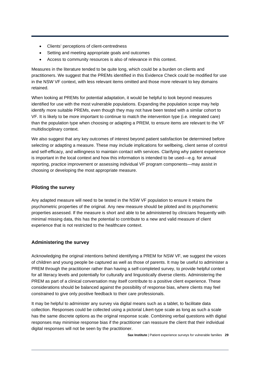- Clients' perceptions of client-centredness
- Setting and meeting appropriate goals and outcomes
- Access to community resources is also of relevance in this context.

Measures in the literature tended to be quite long, which could be a burden on clients and practitioners. We suggest that the PREMs identified in this Evidence Check could be modified for use in the NSW VF context, with less relevant items omitted and those more relevant to key domains retained.

When looking at PREMs for potential adaptation, it would be helpful to look beyond measures identified for use with the most vulnerable populations. Expanding the population scope may help identify more suitable PREMs, even though they may not have been tested with a similar cohort to VF. It is likely to be more important to continue to match the intervention type (i.e. integrated care) than the population type when choosing or adapting a PREM, to ensure items are relevant to the VF multidisciplinary context.

We also suggest that any key outcomes of interest beyond patient satisfaction be determined before selecting or adapting a measure. These may include implications for wellbeing, client sense of control and self-efficacy, and willingness to maintain contact with services. Clarifying why patient experience is important in the local context and how this information is intended to be used—e.g. for annual reporting, practice improvement or assessing individual VF program components—may assist in choosing or developing the most appropriate measure.

#### **Piloting the survey**

Any adapted measure will need to be tested in the NSW VF population to ensure it retains the psychometric properties of the original. Any new measure should be piloted and its psychometric properties assessed. If the measure is short and able to be administered by clinicians frequently with minimal missing data, this has the potential to contribute to a new and valid measure of client experience that is not restricted to the healthcare context.

#### **Administering the survey**

Acknowledging the original intentions behind identifying a PREM for NSW VF, we suggest the voices of children and young people be captured as well as those of parents. It may be useful to administer a PREM through the practitioner rather than having a self-completed survey, to provide helpful context for all literacy levels and potentially for culturally and linguistically diverse clients. Administering the PREM as part of a clinical conversation may itself contribute to a positive client experience. These considerations should be balanced against the possibility of response bias, where clients may feel constrained to give only positive feedback to their care professionals.

It may be helpful to administer any survey via digital means such as a tablet, to facilitate data collection. Responses could be collected using a pictorial Likert-type scale as long as such a scale has the same discrete options as the original response scale. Combining verbal questions with digital responses may minimise response bias if the practitioner can reassure the client that their individual digital responses will not be seen by the practitioner.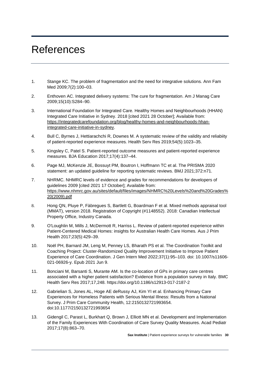## <span id="page-31-0"></span>References

- 1. Stange KC. The problem of fragmentation and the need for integrative solutions*.* Ann Fam Med 2009;7(2):100–03.
- 2. Enthoven AC. Integrated delivery systems: The cure for fragmentation. Am J Manag Care 2009;15(10):S284–90.
- 3. International Foundation for Integrated Care. Healthy Homes and Neighbourhoods (HHAN) Integrated Care Initiative in Sydney. 2018 [cited 2021 28 October]; Available from: [https://integratedcarefoundation.org/blog/healthy-homes-and-neighbourhoods-hhan](https://integratedcarefoundation.org/blog/healthy-homes-and-neighbourhoods-hhan-integrated-care-initiative-in-sydney)[integrated-care-initiative-in-sydney.](https://integratedcarefoundation.org/blog/healthy-homes-and-neighbourhoods-hhan-integrated-care-initiative-in-sydney)
- 4. Bull C, Byrnes J, Hettiarachchi R, Downes M. A systematic review of the validity and reliabiity of patient-reported experience measures*.* Health Serv Res 2019;54(5):1023–35.
- 5. Kingsley C, Patel S. Patient-reported outcome measures and patient-reported experience measures*.* BJA Education 2017;17(4):137–44.
- 6. Page MJ, McKenzie JE, Bossuyt PM, Boutron I, Hoffmann TC et al. The PRISMA 2020 statement: an updated guideline for reporting systematic reviews. BMJ 2021;372:n71.
- 7. NHRMC. NHMRC levels of evidence and grades for recommendations for developers of guidelines 2009 [cited 2021 17 October]; Available from: [https://www.nhmrc.gov.au/sites/default/files/images/NHMRC%20Levels%20and%20Grades%](https://www.nhmrc.gov.au/sites/default/files/images/NHMRC%20Levels%20and%20Grades%20(2009).pdf) [20\(2009\).pdf](https://www.nhmrc.gov.au/sites/default/files/images/NHMRC%20Levels%20and%20Grades%20(2009).pdf)
- 8. Hong QN, Pluye P, Fàbregues S, Bartlett G, Boardman F et al. Mixed methods appraisal tool (MMAT), version 2018. Registration of Copyright (#1148552). 2018: Canadian Intellectual Property Office, Industry Canada.
- 9. O'Loughlin M, Mills J, McDermott R, Harriss L. Review of patient-reported experience within Patient-Centered Medical Homes: insights for Australian Health Care Homes*.* Aus J Prim Health 2017;23(5):429–39.
- 10. Noël PH, Barnard JM, Leng M, Penney LS, Bharath PS et al. The Coordination Toolkit and Coaching Project: Cluster-Randomized Quality Improvement Initiative to Improve Patient Experience of Care Coordination. J Gen Intern Med 2022;37(1):95–103. doi: 10.1007/s11606- 021-06926-y. Epub 2021 Jun 9.
- 11. Bonciani M, Barsanti S, Murante AM. Is the co-location of GPs in primary care centres associated with a higher patient satisfaction? Evidence from a population survey in Italy. BMC Health Serv Res 2017;17,248. https://doi.org/10.1186/s12913-017-2187-2
- 12. Gabrielian S, Jones AL, Hoge AE deRussy AJ, Kim YI et al. Enhancing Primary Care Experiences for Homeless Patients with Serious Mental Illness: Results from a National Survey. J Prim Care Community Health, 12:2150132721993654. doi:10.1177/2150132721993654
- 13. Gidengil C, Parast L, Burkhart Q, Brown J, Elliott MN et al. Development and Implementation of the Family Experiences With Coordination of Care Survey Quality Measures. Acad Pediatr 2017;17(8):863–70.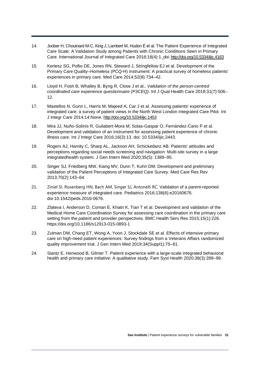- 14. Joober H, Chouinard M-C, King J, Lambert M, Hudon É et al. The Patient Experience of Integrated Care Scale: A Validation Study among Patients with Chronic Conditions Seen in Primary Care. International Journal of Integrated Care 2018;18(4):1. doi: <http://doi.org/10.5334/ijic.4163>
- 15. Kertesz SG, Pollio DE, Jones RN, Steward J, Stringfellow EJ et al. Development of the Primary Care Quality–Homeless (PCQ-H) instrument: A practical survey of homeless patients' experiences in primary care*.* Med Care 2014;52(8):734–42.
- 16. Lloyd H, Fosh B, Whalley B, Byng R, Close J et al., *Validation of the person-centred coordinated care experience questionnaire (P3CEQ).* Int J Qual Health Care 2019;31(7):506– 12.
- 17. Mastellos N, Gunn L, Harris M, Majeed A, Car J et al. Assessing patients' experience of integrated care: a survey of patient views in the North West London Integrated Care Pilot. Int J Integr Care 2014;14:None.<http://doi.org/10.5334/ijic.1453>
- 18. Mira JJ, Nuño-Solinís R, Guilabert-Mora M, Solas-Gaspar O, Fernández-Cano P et al. Development and validation of an instrument for assessing patient experience of chronic illness care. Int J Integr Care 2016;16(3):13. doi: 10.5334/ijic.2443.
- 19. Rogers AJ, Hamity C, Sharp AL, Jackson AH, Schickedanz AB. Patients' attitudes and perceptions regarding social needs screening and navigation: Multi-site survey in a large integratedhealth system*.* J Gen Intern Med 2020;35(5): 1389–95.
- 20. Singer SJ, Friedberg MW, Kiang MV, Dunn T, Kuhn DM. Development and preliminary validation of the Patient Perceptions of Integrated Care Survey. Med Care Res Rev 2013;70(2):143–64.
- 21. Ziniel SI, Rosenberg HN, Bach AM, Singer SJ, Antonelli RC. Validation of a parent-reported experience measure of integrated care*.* Pediatrics 2016;138(6):e20160676. doi:10.1542/peds.2016-0676.
- 22. Zlateva I, Anderson D, Coman E, Khatri K, Tian T et al. Development and validation of the Medical Home Care Coordination Survey for assessing care coordination in the primary care setting from the patient and provider perspectives*.* BMC Health Serv Res 2015;15(1):226. https://doi.org/10.1186/s12913-015-0893-1
- 23. Zulman DM, Chang ET, Wong A, Yoon J, Stockdale SE et al. Effects of intensive primary care on high-need patient experiences: Survey findings from a Veterans Affairs randomized quality improvement trial. J Gen Intern Med 2019;34(Suppl1):75–81.
- 24. Siantz E, Henwood B, Gilmer T. Patient experience with a large-scale integrated behavioral health and primary care initiative: A qualitative study. Fam Syst Health 2020;38(3):289–99.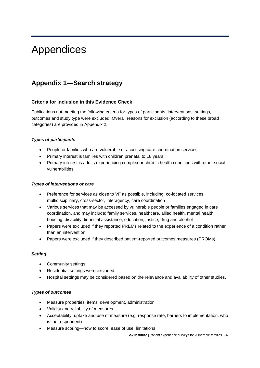## <span id="page-33-0"></span>Appendices

## <span id="page-33-1"></span>**Appendix 1—Search strategy**

#### **Criteria for inclusion in this Evidence Check**

Publications not meeting the following criteria for types of participants, interventions, settings, outcomes and study type were excluded. Overall reasons for exclusion (according to these broad categories) are provided in Appendix 2.

#### *Types of participants*

- People or families who are vulnerable or accessing care coordination services
- Primary interest is families with children prenatal to 18 years
- Primary interest is adults experiencing complex or chronic health conditions with other social vulnerabilities.

#### *Types of interventions or care*

- Preference for services as close to VF as possible, including: co-located services, multidisciplinary, cross-sector, interagency, care coordination
- Various services that may be accessed by vulnerable people or families engaged in care coordination, and may include: family services, healthcare, allied health, mental health, housing, disability, financial assistance, education, justice, drug and alcohol
- Papers were excluded if they reported PREMs related to the experience of a condition rather than an intervention
- Papers were excluded if they described patient-reported outcomes measures (PROMs).

#### *Setting*

- Community settings
- Residential settings were excluded
- Hospital settings may be considered based on the relevance and availability of other studies.

#### *Types of outcomes*

- Measure properties, items, development, administration
- Validity and reliability of measures
- Acceptability, uptake and use of measure (e.g. response rate, barriers to implementation, who is the respondent)
- Measure scoring—how to score, ease of use, limitations.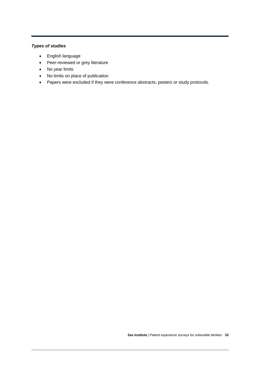### *Types of studies*

- English language
- Peer-reviewed or grey literature
- No year limits
- No limits on place of publication
- Papers were excluded if they were conference abstracts, posters or study protocols.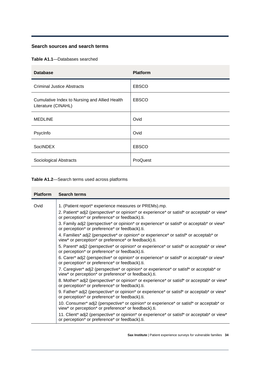#### **Search sources and search terms**

**Table A1.1**—Databases searched

| <b>Database</b>                                                      | <b>Platform</b> |
|----------------------------------------------------------------------|-----------------|
| <b>Criminal Justice Abstracts</b>                                    | <b>EBSCO</b>    |
| Cumulative Index to Nursing and Allied Health<br>Literature (CINAHL) | <b>EBSCO</b>    |
| <b>MEDLINE</b>                                                       | Ovid            |
| PsycInfo                                                             | Ovid            |
| <b>SocINDEX</b>                                                      | <b>EBSCO</b>    |
| Sociological Abstracts                                               | ProQuest        |

**Table A1.2**—Search terms used across platforms

| <b>Platform</b> | <b>Search terms</b>                                                                                                                                                                                   |
|-----------------|-------------------------------------------------------------------------------------------------------------------------------------------------------------------------------------------------------|
| Ovid            | 1. (Patient report* experience measures or PREMs).mp.<br>2. Patient* adj2 (perspective* or opinion* or experience* or satisf* or acceptab* or view*<br>or perception* or preference* or feedback).ti. |
|                 | 3. Family adj2 (perspective* or opinion* or experience* or satisf* or acceptab* or view*<br>or perception* or preference* or feedback).ti.                                                            |
|                 | 4. Families* adj2 (perspective* or opinion* or experience* or satisf* or acceptab* or<br>view* or perception* or preference* or feedback).ti.                                                         |
|                 | 5. Parent* adj2 (perspective* or opinion* or experience* or satisf* or acceptab* or view*<br>or perception* or preference* or feedback).ti.                                                           |
|                 | 6. Carer* adj2 (perspective* or opinion* or experience* or satisf* or acceptab* or view*<br>or perception* or preference* or feedback).ti.                                                            |
|                 | 7. Caregiver* adj2 (perspective* or opinion* or experience* or satisf* or acceptab* or<br>view* or perception* or preference* or feedback).ti.                                                        |
|                 | 8. Mother* adj2 (perspective* or opinion* or experience* or satisf* or acceptab* or view*<br>or perception* or preference* or feedback).ti.                                                           |
|                 | 9. Father* adj2 (perspective* or opinion* or experience* or satisf* or acceptab* or view*<br>or perception* or preference* or feedback).ti.                                                           |
|                 | 10. Consumer* adj2 (perspective* or opinion* or experience* or satisf* or acceptab* or<br>view* or perception* or preference* or feedback).ti.                                                        |
|                 | 11. Client* adj2 (perspective* or opinion* or experience* or satisf* or acceptab* or view*<br>or perception* or preference* or feedback).ti.                                                          |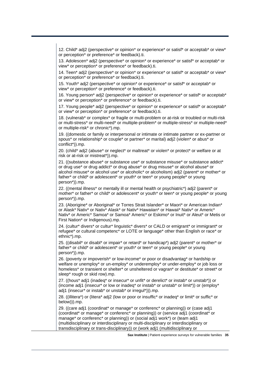12. Child\* adj2 (perspective\* or opinion\* or experience\* or satisf\* or acceptab\* or view\* or perception\* or preference\* or feedback).ti.

13. Adolescen\* adj2 (perspective\* or opinion\* or experience\* or satisf\* or acceptab\* or view\* or perception\* or preference\* or feedback).ti.

14. Teen\* adj2 (perspective\* or opinion\* or experience\* or satisf\* or acceptab\* or view\* or perception\* or preference\* or feedback).ti.

15. Youth\* adj2 (perspective\* or opinion\* or experience\* or satisf\* or acceptab\* or view\* or perception\* or preference\* or feedback).ti.

16. Young person\* adj2 (perspective\* or opinion\* or experience\* or satisf\* or acceptab\* or view\* or perception\* or preference\* or feedback).ti.

17. Young people\* adj2 (perspective\* or opinion\* or experience\* or satisf\* or acceptab\* or view\* or perception\* or preference\* or feedback).ti.

18. (vulnerab\* or complex\* or fragile or multi-problem or at-risk or troubled or multi-risk or multi-stress\* or multi-need\* or multiple-problem\* or multiple-stress\* or multiple-need\* or multiple-risk\* or chronic\*).mp.

19. ((domestic or family or interpersonal or intimate or intimate partner or ex-partner or spous\* or relationship\* or couple\* or partner\* or marital) adj2 (violen\* or abus\* or conflict\*)).mp.

20. (child\* adj2 (abuse\* or neglect\* or maltreat\* or violen\* or protect\* or welfare or at risk or at-risk or mistreat\*)).mp.

21. ((substance abuse\* or substance use\* or substance misuse\* or substance addict\* or drug use\* or drug addict\* or drug abuse\* or drug misuse\* or alcohol abuse\* or alcohol misuse\* or alcohol use\* or alcoholic\* or alcoholism) adj2 (parent\* or mother\* or father\* or child\* or adolescent\* or youth\* or teen\* or young people\* or young person\*)).mp.

22. ((mental illness\* or mentally ill or mental health or psychiatric\*) adj2 (parent\* or mother\* or father\* or child\* or adolescent\* or youth\* or teen\* or young people\* or young person\*)).mp.

23. (Aborigine\* or Aboriginal\* or Torres Strait Islander\* or Maori\* or American Indian\* or Alask\* Nativ\* or Nativ\* Alask\* or Nativ\* Hawaiian\* or Hawaii\* Nativ\* or Americ\* Nativ\* or Americ\* Samoa\* or Samoa\* Americ\* or Eskimo\* or Inuit\* or Aleut\* or Metis or First Nation\* or Indigenous).mp.

24. (cultur\* divers\* or cultur\* linguistic\* divers\* or CALD or emigrant\* or immigrant\* or refugee\* or cultural competenc\* or LOTE or language\* other than English or race\* or ethnic\*).mp.

25. ((disabil\* or disabl\* or impair\* or retard\* or handicap\*) adj2 (parent\* or mother\* or father\* or child\* or adolescent\* or youth\* or teen\* or young people\* or young person\*)).mp.

26. (poverty or impoverish\* or low-income\* or poor or disadvantag\* or hardship or welfare or unemploy\* or un-employ\* or underemploy\* or under-employ\* or job loss or homeless<sup>\*</sup> or transient or shelter<sup>\*</sup> or unsheltered or vagran<sup>\*</sup> or destitute<sup>\*</sup> or street<sup>\*</sup> or sleep\* rough or skid row).mp.

27. ((hous\* adj1 (inadeg\* or insecur\* or unfit\* or derelict\* or instab\* or unstab\*)) or (income adj1 (insecur\* or low or inadeq\* or instab\* or unstab\* or limit\*)) or (employ\* adj1 (insecur\* or instab\* or unstab\* or irregul\*))).mp.

28. ((illitera\*) or (litera\* adj2 (low or poor or insuffic\* or inadeq\* or limit\* or suffic\* or below))).mp.

29. ((care adj1 (coordinat\* or manage\* or conferenc\* or planning)) or (case adj1 (coordinat\* or manage\* or conferenc\* or planning)) or (service adj1 (coordinat\* or manage\* or conferenc\* or planning)) or (social adj1 work\*) or (team adj1 (multidisciplinary or interdisciplinary or multi-disciplinary or interdisciplinary or transdisciplinary or trans-disciplinary)) or (work adj1 (multidisciplinary or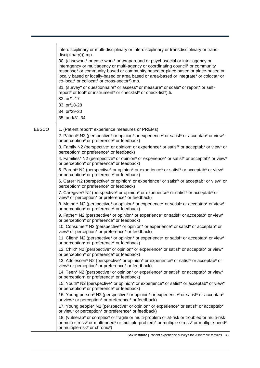|              | interdisciplinary or multi-disciplinary or interdisciplinary or transdisciplinary or trans-<br>disciplinary))).mp.<br>30. (casework* or case-work* or wraparound or psychosocial or inter-agency or<br>interagency or multiagency or multi-agency or coordinating council* or community<br>response* or community-based or community based or place based or place-based or<br>locally based or locally-based or area based or area-based or integrate* or colocat* or<br>co-locat* or collocat* or cross-sector*).mp.<br>31. (survey* or questionnaire* or assess* or measure* or scale* or report* or self-<br>report* or tool* or instrument* or checklist* or check-list*).ti.<br>32. or/1-17<br>33. or/18-28<br>34. or/29-30<br>35. and/31-34                                                                                                                                                                                                                                                                                                                                                                                                                                                                                                                                                                                                                                                                                                                                                                                                                                                                                                                                                                                                                                                                                                                                                                                                                                                                                                                                                                                                                                                                                                                                                                                                                                                                                                        |
|--------------|-----------------------------------------------------------------------------------------------------------------------------------------------------------------------------------------------------------------------------------------------------------------------------------------------------------------------------------------------------------------------------------------------------------------------------------------------------------------------------------------------------------------------------------------------------------------------------------------------------------------------------------------------------------------------------------------------------------------------------------------------------------------------------------------------------------------------------------------------------------------------------------------------------------------------------------------------------------------------------------------------------------------------------------------------------------------------------------------------------------------------------------------------------------------------------------------------------------------------------------------------------------------------------------------------------------------------------------------------------------------------------------------------------------------------------------------------------------------------------------------------------------------------------------------------------------------------------------------------------------------------------------------------------------------------------------------------------------------------------------------------------------------------------------------------------------------------------------------------------------------------------------------------------------------------------------------------------------------------------------------------------------------------------------------------------------------------------------------------------------------------------------------------------------------------------------------------------------------------------------------------------------------------------------------------------------------------------------------------------------------------------------------------------------------------------------------------------------|
| <b>EBSCO</b> | 1. (Patient report* experience measures or PREMs)<br>2. Patient* N2 (perspective* or opinion* or experience* or satisf* or acceptab* or view*<br>or perception* or preference* or feedback)<br>3. Family N2 (perspective* or opinion* or experience* or satisf* or acceptab* or view* or<br>perception* or preference* or feedback)<br>4. Families* N2 (perspective* or opinion* or experience* or satisf* or acceptab* or view*<br>or perception* or preference* or feedback)<br>5. Parent* N2 (perspective* or opinion* or experience* or satisf* or acceptab* or view*<br>or perception* or preference* or feedback)<br>6. Carer* N2 (perspective* or opinion* or experience* or satisf* or acceptab* or view* or<br>perception* or preference* or feedback)<br>7. Caregiver* N2 (perspective* or opinion* or experience* or satisf* or acceptab* or<br>view* or perception* or preference* or feedback)<br>8. Mother* N2 (perspective* or opinion* or experience* or satisf* or acceptab* or view*<br>or perception* or preference* or feedback)<br>9. Father* N2 (perspective* or opinion* or experience* or satisf* or acceptab* or view*<br>or perception* or preference* or feedback)<br>10. Consumer* N2 (perspective* or opinion* or experience* or satisf* or acceptab* or<br>view* or perception* or preference* or feedback)<br>11. Client* N2 (perspective* or opinion* or experience* or satisf* or acceptab* or view*<br>or perception* or preference* or feedback)<br>12. Child* N2 (perspective* or opinion* or experience* or satisf* or acceptab* or view*<br>or perception* or preference* or feedback)<br>13. Adolescen* N2 (perspective* or opinion* or experience* or satisf* or acceptab* or<br>view* or perception* or preference* or feedback)<br>14. Teen* N2 (perspective* or opinion* or experience* or satisf* or acceptab* or view*<br>or perception* or preference* or feedback)<br>15. Youth* N2 (perspective* or opinion* or experience* or satisf* or acceptab* or view*<br>or perception* or preference* or feedback)<br>16. Young person* N2 (perspective* or opinion* or experience* or satisf* or acceptab*<br>or view* or perception* or preference* or feedback)<br>17. Young people* N2 (perspective* or opinion* or experience* or satisf* or acceptab*<br>or view* or perception* or preference* or feedback)<br>18. (vulnerab* or complex* or fragile or multi-problem or at-risk or troubled or multi-risk |
|              | or multi-stress* or multi-need* or multiple-problem* or multiple-stress* or multiple-need*<br>or multiple-risk* or chronic*)                                                                                                                                                                                                                                                                                                                                                                                                                                                                                                                                                                                                                                                                                                                                                                                                                                                                                                                                                                                                                                                                                                                                                                                                                                                                                                                                                                                                                                                                                                                                                                                                                                                                                                                                                                                                                                                                                                                                                                                                                                                                                                                                                                                                                                                                                                                              |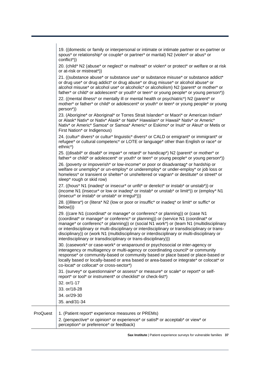|          | 19. ((domestic or family or interpersonal or intimate or intimate partner or ex-partner or<br>spous* or relationship* or couple* or partner* or marital) N2 (violen* or abus* or<br>conflict*))                                                                                                                                                                                                                                                                                                                                 |
|----------|---------------------------------------------------------------------------------------------------------------------------------------------------------------------------------------------------------------------------------------------------------------------------------------------------------------------------------------------------------------------------------------------------------------------------------------------------------------------------------------------------------------------------------|
|          | 20. (child* N2 (abuse* or neglect* or maltreat* or violen* or protect* or welfare or at risk<br>or at-risk or mistreat*))                                                                                                                                                                                                                                                                                                                                                                                                       |
|          | 21. ((substance abuse* or substance use* or substance misuse* or substance addict*<br>or drug use* or drug addict* or drug abuse* or drug misuse* or alcohol abuse* or<br>alcohol misuse* or alcohol use* or alcoholic* or alcoholism) N2 (parent* or mother* or<br>father* or child* or adolescent* or youth* or teen* or young people* or young person*))<br>22. ((mental illness* or mentally ill or mental health or psychiatric*) N2 (parent* or                                                                           |
|          | mother* or father* or child* or adolescent* or youth* or teen* or young people* or young<br>person <sup>*</sup> ))                                                                                                                                                                                                                                                                                                                                                                                                              |
|          | 23. (Aborigine* or Aboriginal* or Torres Strait Islander* or Maori* or American Indian*<br>or Alask* Nativ* or Nativ* Alask* or Nativ* Hawaiian* or Hawaii* Nativ* or Americ*<br>Nativ* or Americ* Samoa* or Samoa* Americ* or Eskimo* or Inuit* or Aleut* or Metis or<br>First Nation* or Indigenous)                                                                                                                                                                                                                          |
|          | 24. (cultur* divers* or cultur* linguistic* divers* or CALD or emigrant* or immigrant* or<br>refugee* or cultural competenc* or LOTE or language* other than English or race* or<br>ethnic*)                                                                                                                                                                                                                                                                                                                                    |
|          | 25. ((disabil* or disabl* or impair* or retard* or handicap*) N2 (parent* or mother* or<br>father* or child* or adolescent* or youth* or teen* or young people* or young person*))                                                                                                                                                                                                                                                                                                                                              |
|          | 26. (poverty or impoverish <sup>*</sup> or low-income <sup>*</sup> or poor or disadvantag <sup>*</sup> or hardship or<br>welfare or unemploy* or un-employ* or underemploy* or under-employ* or job loss or<br>homeless* or transient or shelter* or unsheltered or vagran* or destitute* or street* or<br>sleep* rough or skid row)                                                                                                                                                                                            |
|          | 27. ((hous* N1 (inadeq* or insecur* or unfit* or derelict* or instab* or unstab*)) or<br>(income N1 (insecur* or low or inadeq* or instab* or unstab* or limit*)) or (employ* N1<br>(insecur* or instab* or unstab* or irregul*)))                                                                                                                                                                                                                                                                                              |
|          | 28. ((illitera*) or (litera* N2 (low or poor or insuffic* or inadeq* or limit* or suffic* or<br>below)))                                                                                                                                                                                                                                                                                                                                                                                                                        |
|          | 29. ((care N1 (coordinat* or manage* or conferenc* or planning)) or (case N1<br>(coordinat* or manage* or conferenc* or planning)) or (service N1 (coordinat* or<br>manage* or conferenc* or planning)) or (social N1 work*) or (team N1 (multidisciplinary<br>or interdisciplinary or multi-disciplinary or interdisciplinary or transdisciplinary or trans-<br>disciplinary)) or (work N1 (multidisciplinary or interdisciplinary or multi-disciplinary or<br>interdisciplinary or transdisciplinary or trans-disciplinary))) |
|          | 30. (casework* or case-work* or wraparound or psychosocial or inter-agency or<br>interagency or multiagency or multi-agency or coordinating council* or community<br>response* or community-based or community based or place based or place-based or<br>locally based or locally-based or area based or area-based or integrate* or colocat* or<br>co-locat* or collocat* or cross-sector*)                                                                                                                                    |
|          | 31. (survey* or questionnaire* or assess* or measure* or scale* or report* or self-<br>report* or tool* or instrument* or checklist* or check-list*)                                                                                                                                                                                                                                                                                                                                                                            |
|          | 32. or/1-17                                                                                                                                                                                                                                                                                                                                                                                                                                                                                                                     |
|          | 33. or/18-28                                                                                                                                                                                                                                                                                                                                                                                                                                                                                                                    |
|          | 34. or/29-30                                                                                                                                                                                                                                                                                                                                                                                                                                                                                                                    |
|          | 35. and/31-34                                                                                                                                                                                                                                                                                                                                                                                                                                                                                                                   |
| ProQuest | 1. (Patient report* experience measures or PREMs)                                                                                                                                                                                                                                                                                                                                                                                                                                                                               |
|          | 2. (perspective* or opinion* or experience* or satisf* or acceptab* or view* or<br>perception* or preference* or feedback)                                                                                                                                                                                                                                                                                                                                                                                                      |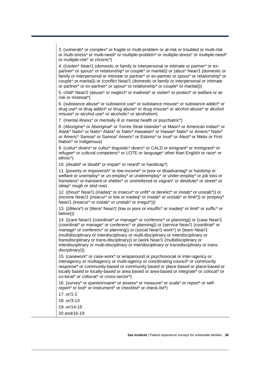3. (vulnerab\* or complex\* or fragile or multi-problem or at-risk or troubled or multi-risk or multi-stress\* or multi-need\* or multiple-problem\* or multiple-stress\* or multiple-need\* or multiple-risk\* or chronic\*)

4. ((violen\* Near/1 (domestic or family or interpersonal or intimate or partner\* or expartner\* or spous\* or relationship\* or couple\* or marital)) or (abus\* Near/1 (domestic or family or interpersonal or intimate or partner\* or ex-partner or spous\* or relationship\* or couple\* or marital)) or (conflict Near/1 (domestic or family or interpersonal or intimate or partner\* or ex-partner\* or spous\* or relationship\* or couple\* or marital)))

5. child\* Near/2 (abuse\* or neglect\* or maltreat\* or violen\* or protect\* or welfare or atrisk or mistreat\*)

6. (substance abuse\* or substance use\* or substance misuse\* or substance addict\* or drug use\* or drug addict\* or drug abuse\* or drug misuse\* or alcohol abuse\* or alcohol misuse\* or alcohol use\* or alcoholic\* or alcoholism)

7. (mental illness\* or mentally ill or mental health or psychiatric\*)

8. (Aborigine\* or Aboriginal\* or Torres Strait Islander\* or Maori\* or American Indian\* or Alask\* Nativ\* or Nativ\* Alask\* or Nativ\* Hawaiian\* or Hawaii\* Nativ\* or Americ\* Nativ\* or Americ\* Samoa\* or Samoa\* Americ\* or Eskimo\* or Inuit\* or Aleut\* or Metis or First Nation\* or Indigenous)

9. (cultur<sup>\*</sup> divers<sup>\*</sup> or cultur<sup>\*</sup> linguistic<sup>\*</sup> divers<sup>\*</sup> or CALD or emigrant<sup>\*</sup> or immigrant<sup>\*</sup> or refugee\* or cultural competenc\* or LOTE or language\* other than English or race\* or ethnic\*)

10. (disabil\* or disabl\* or impair\* or retard\* or handicap\*)

11. (poverty or impoverish\* or low-income\* or poor or disadvantag\* or hardship or welfare or unemploy\* or un-employ\* or underemploy\* or under-employ\* or job loss or homeless<sup>\*</sup> or transient or shelter<sup>\*</sup> or unsheltered or vagran<sup>\*</sup> or destitute<sup>\*</sup> or street<sup>\*</sup> or sleep\* rough or skid row)

12. ((hous\* Near/1 (inadeq\* or insecur\* or unfit\* or derelict\* or instab\* or unstab\*)) or (income Near/1 (insecur\* or low or inadeq\* or instab\* or unstab\* or limit\*)) or (employ\* Near/1 (insecur<sup>\*</sup> or instab<sup>\*</sup> or unstab<sup>\*</sup> or irregul<sup>\*</sup>)))

13. ((illitera\*) or (litera\* Near/2 (low or poor or insuffic\* or inadeq\* or limit\* or suffic\* or below)))

14. ((care Near/1 (coordinat\* or manage\* or conferenc\* or planning)) or (case Near/1 (coordinat\* or manage\* or conferenc\* or planning)) or (service Near/1 (coordinat\* or manage\* or conferenc\* or planning)) or (social Near/1 work\*) or (team Near/1 (multidisciplinary or interdisciplinary or multi-disciplinary or interdisciplinary or transdisciplinary or trans-disciplinary)) or (work Near/1 (multidisciplinary or interdisciplinary or multi-disciplinary or interdisciplinary or transdisciplinary or transdisciplinary)))

15. (casework\* or case-work\* or wraparound or psychosocial or inter-agency or interagency or multiagency or multi-agency or coordinating council\* or community response\* or community-based or community based or place based or place-based or locally based or locally-based or area based or area-based or integrate\* or colocat\* or co-locat\* or collocat\* or cross-sector\*)

16. (survey\* or questionnaire\* or assess\* or measure\* or scale\* or report\* or selfreport\* or tool\* or instrument\* or checklist\* or check-list\*)

17. or/1-2

- 18. or/3-13
- 19. or/14-15
- 20 and/16-19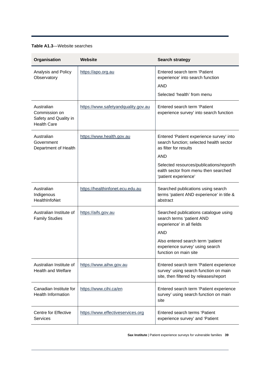#### **Table A1.3**—Website searches

| Organisation                                                               | Website                             | <b>Search strategy</b>                                                                                                                                                                                                                 |
|----------------------------------------------------------------------------|-------------------------------------|----------------------------------------------------------------------------------------------------------------------------------------------------------------------------------------------------------------------------------------|
| Analysis and Policy<br>Observatory                                         | https://apo.org.au                  | Entered search term 'Patient<br>experience' into search function<br><b>AND</b><br>Selected 'health' from menu                                                                                                                          |
| Australian<br>Commission on<br>Safety and Quality in<br><b>Health Care</b> | https://www.safetyandquality.gov.au | Entered search term 'Patient<br>experience survey' into search function                                                                                                                                                                |
| Australian<br>Government<br>Department of Health                           | https://www.health.gov.au           | Entered 'Patient experience survey' into<br>search function; selected health sector<br>as filter for results<br><b>AND</b><br>Selected resources/publications/report/h<br>ealth sector from menu then searched<br>'patient experience' |
| Australian<br>Indigenous<br>HealthInfoNet                                  | https://healthinfonet.ecu.edu.au    | Searched publications using search<br>terms 'patient AND experience' in title &<br>abstract                                                                                                                                            |
| Australian Institute of<br><b>Family Studies</b>                           | https://aifs.gov.au                 | Searched publications catalogue using<br>search terms 'patient AND<br>experience' in all fields<br><b>AND</b><br>Also entered search term 'patient<br>experience survey' using search<br>function on main site                         |
| Australian Institute of<br><b>Health and Welfare</b>                       | https://www.aihw.gov.au             | Entered search term 'Patient experience<br>survey' using search function on main<br>site, then filtered by releases/report                                                                                                             |
| Canadian Institute for<br><b>Health Information</b>                        | https://www.cihi.ca/en              | Entered search term 'Patient experience<br>survey' using search function on main<br>site                                                                                                                                               |
| Centre for Effective<br><b>Services</b>                                    | https://www.effectiveservices.org   | Entered search terms 'Patient<br>experience survey' and 'Patient                                                                                                                                                                       |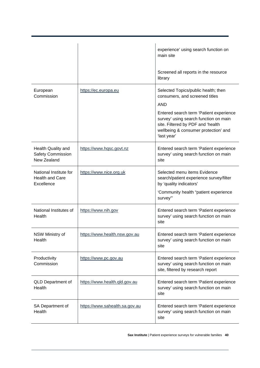|                                                                |                                | experience' using search function on<br>main site<br>Screened all reports in the resource<br>library                                                                                                                                                                |
|----------------------------------------------------------------|--------------------------------|---------------------------------------------------------------------------------------------------------------------------------------------------------------------------------------------------------------------------------------------------------------------|
| European<br>Commission                                         | https://ec.europa.eu           | Selected Topics/public health; then<br>consumers, and screened titles<br><b>AND</b><br>Entered search term 'Patient experience<br>survey' using search function on main<br>site. Filtered by PDF and 'health<br>wellbeing & consumer protection' and<br>'last year' |
| Health Quality and<br><b>Safety Commission</b><br>New Zealand  | https://www.hqsc.govt.nz       | Entered search term 'Patient experience<br>survey' using search function on main<br>site                                                                                                                                                                            |
| National Institute for<br><b>Health and Care</b><br>Excellence | https://www.nice.org.uk        | Selected menu items Evidence<br>search/patient experience survey/filter<br>by 'quality indicators'<br>'Community health "patient experience<br>survey"                                                                                                              |
| National Institutes of<br>Health                               | https://www.nih.gov            | Entered search term 'Patient experience<br>survey' using search function on main<br>site                                                                                                                                                                            |
| NSW Ministry of<br>Health                                      | https://www.health.nsw.gov.au  | Entered search term 'Patient experience<br>survey' using search function on main<br>site                                                                                                                                                                            |
| Productivity<br>Commission                                     | https://www.pc.gov.au          | Entered search term 'Patient experience<br>survey' using search function on main<br>site, filtered by research report                                                                                                                                               |
| <b>QLD Department of</b><br>Health                             | https://www.health.qld.gov.au  | Entered search term 'Patient experience<br>survey' using search function on main<br>site                                                                                                                                                                            |
| SA Department of<br>Health                                     | https://www.sahealth.sa.gov.au | Entered search term 'Patient experience<br>survey' using search function on main<br>site                                                                                                                                                                            |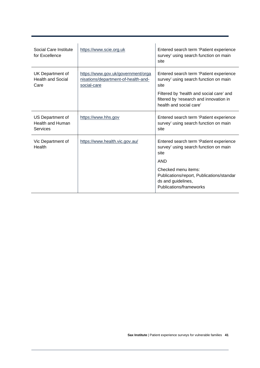| Social Care Institute<br>for Excellence                 | https://www.scie.org.uk                                                                  | Entered search term 'Patient experience<br>survey' using search function on main<br>site                                                                                                                   |
|---------------------------------------------------------|------------------------------------------------------------------------------------------|------------------------------------------------------------------------------------------------------------------------------------------------------------------------------------------------------------|
| UK Department of<br><b>Health and Social</b><br>Care    | https://www.gov.uk/government/orga<br>nisations/department-of-health-and-<br>social-care | Entered search term 'Patient experience<br>survey' using search function on main<br>site<br>Filtered by 'health and social care' and<br>filtered by 'research and innovation in<br>health and social care' |
| US Department of<br><b>Health and Human</b><br>Services | https://www.hhs.gov                                                                      | Entered search term 'Patient experience<br>survey' using search function on main<br>site                                                                                                                   |
| Vic Department of<br>Health                             | https://www.health.vic.gov.au/                                                           | Entered search term 'Patient experience<br>survey' using search function on main<br>site<br><b>AND</b>                                                                                                     |
|                                                         |                                                                                          | Checked menu items:<br>Publications/report, Publications/standar<br>ds and guidelines,<br>Publications/frameworks                                                                                          |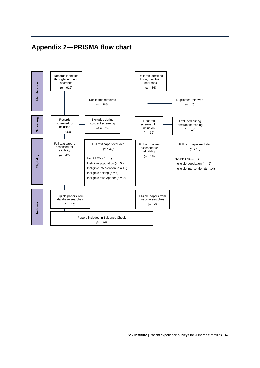## <span id="page-43-0"></span>**Appendix 2—PRISMA flow chart**

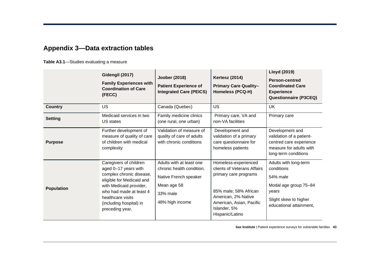## **Appendix 3—Data extraction tables**

**Table A3.1**—Studies evaluating a measure

<span id="page-44-0"></span>

|                   | Gidengil (2017)<br><b>Family Experiences with</b><br><b>Coordination of Care</b><br>(FECC)                                                                                                                                       | Joober (2018)<br><b>Patient Experience of</b><br><b>Integrated Care (PEICS)</b>                                              | <b>Kertesz (2014)</b><br><b>Primary Care Quality-</b><br><b>Homeless (PCQ-H)</b>                                                                                                            | <b>Lloyd (2019)</b><br><b>Person-centred</b><br><b>Coordinated Care</b><br><b>Experience</b><br><b>Questionnaire (P3CEQ)</b>          |
|-------------------|----------------------------------------------------------------------------------------------------------------------------------------------------------------------------------------------------------------------------------|------------------------------------------------------------------------------------------------------------------------------|---------------------------------------------------------------------------------------------------------------------------------------------------------------------------------------------|---------------------------------------------------------------------------------------------------------------------------------------|
| <b>Country</b>    | <b>US</b>                                                                                                                                                                                                                        | Canada (Quebec)                                                                                                              | <b>US</b>                                                                                                                                                                                   | <b>UK</b>                                                                                                                             |
| <b>Setting</b>    | Medicaid services in two<br>US states                                                                                                                                                                                            | Family medicine clinics<br>(one rural, one urban)                                                                            | Primary care, VA and<br>non-VA facilities                                                                                                                                                   | Primary care                                                                                                                          |
| <b>Purpose</b>    | Further development of<br>measure of quality of care<br>of children with medical<br>complexity                                                                                                                                   | Validation of measure of<br>quality of care of adults<br>with chronic conditions                                             | Development and<br>validation of a primary<br>care questionnaire for<br>homeless patients                                                                                                   | Development and<br>validation of a patient-<br>centred care experience<br>measure for adults with<br>long-term conditions             |
| <b>Population</b> | Caregivers of children<br>aged 0-17 years with<br>complex chronic disease,<br>eligible for Medicaid and<br>with Medicaid provider,<br>who had made at least 4<br>healthcare visits<br>(including hospital) in<br>preceding year. | Adults with at least one<br>chronic health condition.<br>Native French speaker<br>Mean age 58<br>33% male<br>48% high income | Homeless-experienced<br>clients of Veterans Affairs<br>primary care programs<br>85% male; 58% African<br>American, 2% Native<br>American, Asian, Pacific<br>Islander, 5%<br>Hispanic/Latino | Adults with long-term<br>conditions<br>54% male<br>Modal age group 75-84<br>years<br>Slight skew to higher<br>educational attainment, |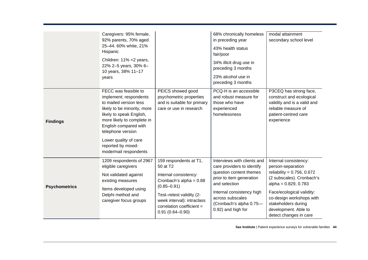|                      | Caregivers: 95% female,<br>92% parents, 70% aged<br>25-44. 60% white, 21%<br>Hispanic<br>Children: 11% <2 years,<br>22% 2-5 years, 30% 6-<br>10 years, 38% 11-17<br>years<br>FECC was feasible to                                                               | PEICS showed good                                                                                                                                                                                                         | 68% chronically homeless<br>in preceding year<br>43% health status<br>fair/poor<br>34% illicit drug use in<br>preceding 3 months<br>23% alcohol use in<br>preceding 3 months<br>PCQ-H is an accessible                              | modal attainment<br>secondary school level<br>P3CEQ has strong face,                                                                                                                                                                                                   |
|----------------------|-----------------------------------------------------------------------------------------------------------------------------------------------------------------------------------------------------------------------------------------------------------------|---------------------------------------------------------------------------------------------------------------------------------------------------------------------------------------------------------------------------|-------------------------------------------------------------------------------------------------------------------------------------------------------------------------------------------------------------------------------------|------------------------------------------------------------------------------------------------------------------------------------------------------------------------------------------------------------------------------------------------------------------------|
| <b>Findings</b>      | implement; respondents<br>to mailed version less<br>likely to be minority, more<br>likely to speak English,<br>more likely to complete in<br>English compared with<br>telephone version<br>Lower quality of care<br>reported by mixed-<br>mode/mail respondents | psychometric properties<br>and is suitable for primary<br>care or use in research                                                                                                                                         | and robust measure for<br>those who have<br>experienced<br>homelessness                                                                                                                                                             | construct and ecological<br>validity and is a valid and<br>reliable measure of<br>patient-centred care<br>experience                                                                                                                                                   |
| <b>Psychometrics</b> | 1209 respondents of 2967<br>eligible caregivers<br>Not validated against<br>existing measures<br>Items developed using<br>Delphi method and<br>caregiver focus groups                                                                                           | 159 respondents at T1,<br>50 at T2<br>Internal consistency:<br>Cronbach's alpha = $0.88$<br>$(0.85 - 0.91)$<br>Test-retest validity (2-<br>week interval): intraclass<br>correlation coefficient =<br>$0.91(0.64 - 0.90)$ | Interviews with clients and<br>care providers to identify<br>question content themes<br>prior to item generation<br>and selection<br>Internal consistency high<br>across subscales<br>(Cronbach's alpha 0.75-<br>0.92) and high for | Internal consistency:<br>person-separation<br>reliability = $0.756$ , $0.672$<br>(2 subscales). Cronbach's<br>$alpha = 0.829, 0.783$<br>Face/ecological validity:<br>co-design workshops with<br>stakeholders during<br>development. Able to<br>detect changes in care |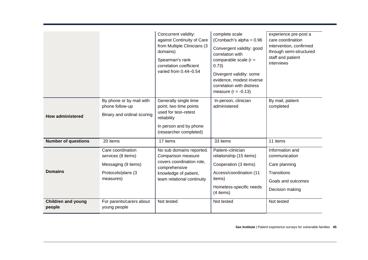|                                     |                                                                                                   | Concurrent validity:<br>against Continuity of Care<br>from Multiple Clinicians (3<br>domains)<br>Spearman's rank<br>correlation coefficient<br>varied from 0.44-0.54 | complete scale<br>(Cronbach's alpha = $0.96$<br>Convergent validity: good<br>correlation with<br>comparable scale $(r =$<br>0.73)<br>Divergent validity: some<br>evidence, modest inverse<br>correlation with distress<br>measure $(r = -0.13)$ | experience pre-post a<br>care coordination<br>intervention, confirmed<br>through semi-structured<br>staff and patient<br>interviews |
|-------------------------------------|---------------------------------------------------------------------------------------------------|----------------------------------------------------------------------------------------------------------------------------------------------------------------------|-------------------------------------------------------------------------------------------------------------------------------------------------------------------------------------------------------------------------------------------------|-------------------------------------------------------------------------------------------------------------------------------------|
| <b>How administered</b>             | By phone or by mail with<br>phone follow-up<br>Binary and ordinal scoring                         | Generally single time<br>point; two time points<br>used for test-retest<br>reliability<br>In person and by phone<br>(researcher completed)                           | In-person, clinician<br>administered                                                                                                                                                                                                            | By mail, patient<br>completed                                                                                                       |
| <b>Number of questions</b>          | 20 items                                                                                          | 17 items                                                                                                                                                             | 33 items                                                                                                                                                                                                                                        | 11 items                                                                                                                            |
| <b>Domains</b>                      | Care coordination<br>services (8 items)<br>Messaging (9 items)<br>Protocols/plans (3<br>measures) | No sub domains reported.<br>Comparison measure<br>covers coordination role,<br>comprehensive<br>knowledge of patient,<br>team relational continuity                  | Patient-clinician<br>relationship (15 items)<br>Cooperation (3 items)<br>Access/coordination (11<br>items)<br>Homeless-specific needs<br>(4 items)                                                                                              | Information and<br>communication<br>Care planning<br>Transitions<br>Goals and outcomes<br>Decision making                           |
| <b>Children and young</b><br>people | For parents/carers about<br>young people                                                          | Not tested                                                                                                                                                           | Not tested                                                                                                                                                                                                                                      | Not tested                                                                                                                          |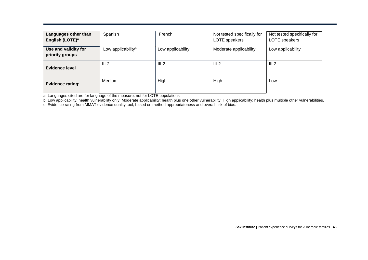| Languages other than<br>English (LOTE) <sup>a</sup> | Spanish                        | French            | Not tested specifically for<br>LOTE speakers | Not tested specifically for<br>LOTE speakers |
|-----------------------------------------------------|--------------------------------|-------------------|----------------------------------------------|----------------------------------------------|
| Use and validity for<br>priority groups             | Low applicability <sup>b</sup> | Low applicability | Moderate applicability                       | Low applicability                            |
| Evidence level                                      | $III-2$                        | $III-2$           | $III-2$                                      | $III-2$                                      |
| Evidence rating <sup>c</sup>                        | Medium                         | High              | High                                         | Low                                          |

a. Languages cited are for language of the measure, not for LOTE populations.

b. Low applicability: health vulnerability only; Moderate applicability: health plus one other vulnerability; High applicability: health plus multiple other vulnerabilities.

c. Evidence rating from MMAT evidence quality tool, based on method appropriateness and overall risk of bias.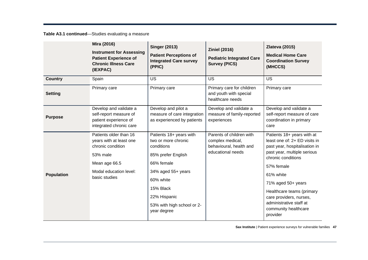**Table A3.1 continued**—Studies evaluating a measure

|                   | Mira (2016)<br><b>Instrument for Assessing</b><br><b>Patient Experience of</b><br><b>Chronic Illness Care</b><br>(IEXPAC)                      | <b>Singer (2013)</b><br><b>Patient Perceptions of</b><br><b>Integrated Care survey</b><br>(PPIC)                                                                                                              | <b>Ziniel (2016)</b><br><b>Pediatric Integrated Care</b><br><b>Survey (PICS)</b>             | <b>Zlateva (2015)</b><br><b>Medical Home Care</b><br><b>Coordination Survey</b><br>(MHCCS)                                                                                                                                                                                                                                |
|-------------------|------------------------------------------------------------------------------------------------------------------------------------------------|---------------------------------------------------------------------------------------------------------------------------------------------------------------------------------------------------------------|----------------------------------------------------------------------------------------------|---------------------------------------------------------------------------------------------------------------------------------------------------------------------------------------------------------------------------------------------------------------------------------------------------------------------------|
| <b>Country</b>    | Spain                                                                                                                                          | US                                                                                                                                                                                                            | <b>US</b>                                                                                    | <b>US</b>                                                                                                                                                                                                                                                                                                                 |
| <b>Setting</b>    | Primary care                                                                                                                                   | Primary care                                                                                                                                                                                                  | Primary care for children<br>and youth with special<br>healthcare needs                      | Primary care                                                                                                                                                                                                                                                                                                              |
| <b>Purpose</b>    | Develop and validate a<br>self-report measure of<br>patient experience of<br>integrated chronic care                                           | Develop and pilot a<br>measure of care integration<br>as experienced by patients                                                                                                                              | Develop and validate a<br>measure of family-reported<br>experiences                          | Develop and validate a<br>self-report measure of care<br>coordination in primary<br>care                                                                                                                                                                                                                                  |
| <b>Population</b> | Patients older than 16<br>years with at least one<br>chronic condition<br>53% male<br>Mean age 66.5<br>Modal education level:<br>basic studies | Patients 18+ years with<br>two or more chronic<br>conditions<br>85% prefer English<br>66% female<br>34% aged 55+ years<br>60% white<br>15% Black<br>22% Hispanic<br>53% with high school or 2-<br>year degree | Parents of children with<br>complex medical,<br>behavioural, health and<br>educational needs | Patients 18+ years with at<br>least one of: 2+ ED visits in<br>past year, hospitalisation in<br>past year, multiple serious<br>chronic conditions<br>57% female<br>61% white<br>71% aged 50+ years<br>Healthcare teams (primary<br>care providers, nurses,<br>administrative staff at<br>community healthcare<br>provider |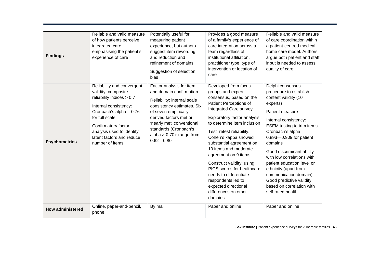| <b>Findings</b>         | Reliable and valid measure<br>of how patients perceive<br>integrated care,<br>emphasising the patient's<br>experience of care                                                                                                                              | Potentially useful for<br>measuring patient<br>experience, but authors<br>suggest item rewording<br>and reduction and<br>refinement of domains<br>Suggestion of selection<br>bias                                                                                        | Provides a good measure<br>of a family's experience of<br>care integration across a<br>team regardless of<br>institutional affiliation,<br>practitioner type, type of<br>intervention or location of<br>care                                                                                                                                                                                                                                                                                  | Reliable and valid measure<br>of care coordination within<br>a patient-centred medical<br>home care model. Authors<br>argue both patient and staff<br>input is needed to assess<br>quality of care                                                                                                                                                                                                                                              |
|-------------------------|------------------------------------------------------------------------------------------------------------------------------------------------------------------------------------------------------------------------------------------------------------|--------------------------------------------------------------------------------------------------------------------------------------------------------------------------------------------------------------------------------------------------------------------------|-----------------------------------------------------------------------------------------------------------------------------------------------------------------------------------------------------------------------------------------------------------------------------------------------------------------------------------------------------------------------------------------------------------------------------------------------------------------------------------------------|-------------------------------------------------------------------------------------------------------------------------------------------------------------------------------------------------------------------------------------------------------------------------------------------------------------------------------------------------------------------------------------------------------------------------------------------------|
| <b>Psychometrics</b>    | Reliability and convergent<br>validity: composite<br>reliability indices > 0.7<br>Internal consistency:<br>Cronbach's alpha = $0.76$<br>for full scale<br>Confirmatory factor<br>analysis used to identify<br>latent factors and reduce<br>number of items | Factor analysis for item<br>and domain confirmation<br>Reliability: internal scale<br>consistency estimates. Six<br>of seven empirically<br>derived factors met or<br>'nearly met' conventional<br>standards (Cronbach's<br>alpha $> 0.70$ : range from<br>$0.62 - 0.80$ | Developed from focus<br>groups and expert<br>consensus, based on the<br>Patient Perceptions of<br>Integrated Care survey<br>Exploratory factor analysis<br>to determine item inclusion<br>Test-retest reliability:<br>Cohen's kappa showed<br>substantial agreement on<br>10 items and moderate<br>agreement on 9 items<br>Construct validity: using<br>PICS scores for healthcare<br>needs to differentiate<br>respondents led to<br>expected directional<br>differences on other<br>domains | Delphi consensus<br>procedure to establish<br>content validity (10<br>experts)<br>Patient measure<br>Internal consistency:<br>ESEM testing to trim items.<br>Cronbach's alpha =<br>0.893-0.909 for patient<br>domains<br>Good discriminant ability<br>with low correlations with<br>patient education level or<br>ethnicity (apart from<br>communication domain).<br>Good predictive validity<br>based on correlation with<br>self-rated health |
| <b>How administered</b> | Online, paper-and-pencil,<br>phone                                                                                                                                                                                                                         | By mail                                                                                                                                                                                                                                                                  | Paper and online                                                                                                                                                                                                                                                                                                                                                                                                                                                                              | Paper and online                                                                                                                                                                                                                                                                                                                                                                                                                                |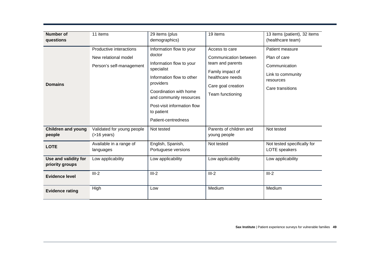| <b>Number of</b><br>questions           | 11 items                                                                    | 29 items (plus<br>demographics)                                                                                                                                                                                                                 | 19 items                                                                                                                                      | 13 items (patient), 32 items<br>(healthcare team)                                                      |
|-----------------------------------------|-----------------------------------------------------------------------------|-------------------------------------------------------------------------------------------------------------------------------------------------------------------------------------------------------------------------------------------------|-----------------------------------------------------------------------------------------------------------------------------------------------|--------------------------------------------------------------------------------------------------------|
| <b>Domains</b>                          | Productive interactions<br>New relational model<br>Person's self-management | Information flow to your<br>doctor<br>Information flow to your<br>specialist<br>Information flow to other<br>providers<br>Coordination with home<br>and community resources<br>Post-visit information flow<br>to patient<br>Patient-centredness | Access to care<br>Communication between<br>team and parents<br>Family impact of<br>healthcare needs<br>Care goal creation<br>Team functioning | Patient measure<br>Plan of care<br>Communication<br>Link to community<br>resources<br>Care transitions |
| <b>Children and young</b><br>people     | Validated for young people<br>$($ >16 years)                                | Not tested                                                                                                                                                                                                                                      | Parents of children and<br>young people                                                                                                       | Not tested                                                                                             |
| <b>LOTE</b>                             | Available in a range of<br>languages                                        | English, Spanish,<br>Portuguese versions                                                                                                                                                                                                        | Not tested                                                                                                                                    | Not tested specifically for<br><b>LOTE</b> speakers                                                    |
| Use and validity for<br>priority groups | Low applicability                                                           | Low applicability                                                                                                                                                                                                                               | Low applicability                                                                                                                             | Low applicability                                                                                      |
| <b>Evidence level</b>                   | $III-2$                                                                     | $III-2$                                                                                                                                                                                                                                         | $III-2$                                                                                                                                       | $III-2$                                                                                                |
| <b>Evidence rating</b>                  | High                                                                        | Low                                                                                                                                                                                                                                             | Medium                                                                                                                                        | Medium                                                                                                 |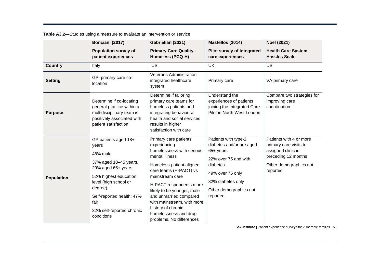| Table A3.2-Studies using a measure to evaluate an intervention or service |  |
|---------------------------------------------------------------------------|--|
|---------------------------------------------------------------------------|--|

|                   | Bonciani (2017)                                                                                                                                                                                                                       | Gabrielian (2021)                                                                                                                                                                                                                                                                                                                                         | Mastellos (2014)                                                                                                                                                                 | Noël (2021)                                                                                                                          |
|-------------------|---------------------------------------------------------------------------------------------------------------------------------------------------------------------------------------------------------------------------------------|-----------------------------------------------------------------------------------------------------------------------------------------------------------------------------------------------------------------------------------------------------------------------------------------------------------------------------------------------------------|----------------------------------------------------------------------------------------------------------------------------------------------------------------------------------|--------------------------------------------------------------------------------------------------------------------------------------|
|                   | <b>Population survey of</b><br>patient experiences                                                                                                                                                                                    | <b>Primary Care Quality-</b><br><b>Homeless (PCQ-H)</b>                                                                                                                                                                                                                                                                                                   | Pilot survey of integrated<br>care experiences                                                                                                                                   | <b>Health Care System</b><br><b>Hassles Scale</b>                                                                                    |
| <b>Country</b>    | Italy                                                                                                                                                                                                                                 | <b>US</b>                                                                                                                                                                                                                                                                                                                                                 | <b>UK</b>                                                                                                                                                                        | <b>US</b>                                                                                                                            |
| <b>Setting</b>    | GP-primary care co-<br>location                                                                                                                                                                                                       | <b>Veterans Administration</b><br>integrated healthcare<br>system                                                                                                                                                                                                                                                                                         | Primary care                                                                                                                                                                     | VA primary care                                                                                                                      |
| <b>Purpose</b>    | Determine if co-locating<br>general practice within a<br>multidisciplinary team is<br>positively associated with<br>patient satisfaction                                                                                              | Determine if tailoring<br>primary care teams for<br>homeless patients and<br>integrating behavioural<br>health and social services<br>results in higher<br>satisfaction with care                                                                                                                                                                         | Understand the<br>experiences of patients<br>joining the Integrated Care<br>Pilot in North West London                                                                           | Compare two strategies for<br>improving care<br>coordination                                                                         |
| <b>Population</b> | GP patients aged 18+<br>years<br>48% male<br>37% aged 18-45 years,<br>29% aged 65+ years<br>52% highest education<br>level (high school or<br>degree)<br>Self-reported health: 47%<br>fair<br>32% self-reported chronic<br>conditions | Primary care patients<br>experiencing<br>homelessness with serious<br>mental illness<br>Homeless-patient aligned<br>care teams (H-PACT) vs<br>mainstream care<br>H-PACT respondents more<br>likely to be younger, male<br>and unmarried compared<br>with mainstream, with more<br>history of chronic<br>homelessness and drug<br>problems. No differences | Patients with type-2<br>diabetes and/or are aged<br>65+ years<br>22% over 75 and with<br>diabetes<br>49% over 75 only<br>32% diabetes only<br>Other demographics not<br>reported | Patients with 4 or more<br>primary care visits to<br>assigned clinic in<br>preceding 12 months<br>Other demographics not<br>reported |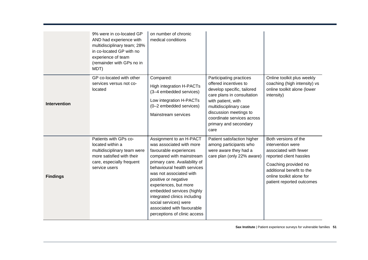|                     | 9% were in co-located GP<br>AND had experience with<br>multidisciplinary team; 28%<br>in co-located GP with no<br>experience of team<br>(remainder with GPs no in<br>MDT) | on number of chronic<br>medical conditions                                                                                                                                                                                                                                                                                                                                                                |                                                                                                                                                                                                                                                       |                                                                                                                                                                                                             |
|---------------------|---------------------------------------------------------------------------------------------------------------------------------------------------------------------------|-----------------------------------------------------------------------------------------------------------------------------------------------------------------------------------------------------------------------------------------------------------------------------------------------------------------------------------------------------------------------------------------------------------|-------------------------------------------------------------------------------------------------------------------------------------------------------------------------------------------------------------------------------------------------------|-------------------------------------------------------------------------------------------------------------------------------------------------------------------------------------------------------------|
| <b>Intervention</b> | GP co-located with other<br>services versus not co-<br>located                                                                                                            | Compared:<br><b>High integration H-PACTs</b><br>(3-4 embedded services)<br>Low integration H-PACTs<br>(0-2 embedded services)<br>Mainstream services                                                                                                                                                                                                                                                      | Participating practices<br>offered incentives to<br>develop specific, tailored<br>care plans in consultation<br>with patient, with<br>multidisciplinary case<br>discussion meetings to<br>coordinate services across<br>primary and secondary<br>care | Online toolkit plus weekly<br>coaching (high intensity) vs<br>online toolkit alone (lower<br>intensity)                                                                                                     |
| <b>Findings</b>     | Patients with GPs co-<br>located within a<br>multidisciplinary team were<br>more satisfied with their<br>care, especially frequent<br>service users                       | Assignment to an H-PACT<br>was associated with more<br>favourable experiences<br>compared with mainstream<br>primary care. Availability of<br>behavioural health services<br>was not associated with<br>positive or negative<br>experiences, but more<br>embedded services (highly<br>integrated clinics including<br>social services) were<br>associated with favourable<br>perceptions of clinic access | Patient satisfaction higher<br>among participants who<br>were aware they had a<br>care plan (only 22% aware)                                                                                                                                          | Both versions of the<br>intervention were<br>associated with fewer<br>reported client hassles<br>Coaching provided no<br>additional benefit to the<br>online toolkit alone for<br>patient reported outcomes |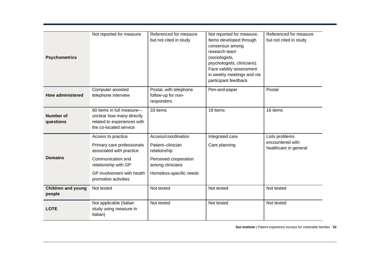| <b>Psychometrics</b>                | Not reported for measure                                                                                                                                                        | Referenced for measure<br>but not cited in study                                                                                 | Not reported for measure.<br>Items developed through<br>consensus among<br>research team<br>(sociologists,<br>psychologists, clinicians).<br>Face validity assessment<br>in weekly meetings and via<br>participant feedback | Referenced for measure<br>but not cited in study            |
|-------------------------------------|---------------------------------------------------------------------------------------------------------------------------------------------------------------------------------|----------------------------------------------------------------------------------------------------------------------------------|-----------------------------------------------------------------------------------------------------------------------------------------------------------------------------------------------------------------------------|-------------------------------------------------------------|
| <b>How administered</b>             | Computer assisted<br>telephone interview                                                                                                                                        | Postal, with telephone<br>follow-up for non-<br>responders                                                                       | Pen-and-paper                                                                                                                                                                                                               | Postal                                                      |
| <b>Number of</b><br>questions       | 60 items in full measure-<br>unclear how many directly<br>related to experiences with<br>the co-located service                                                                 | 33 items                                                                                                                         | 19 items                                                                                                                                                                                                                    | 16 items                                                    |
| <b>Domains</b>                      | Access to practice<br>Primary care professionals<br>associated with practice<br>Communication and<br>relationship with GP<br>GP involvement with health<br>promotion activities | Access/coordination<br>Patient-clinician<br>relationship<br>Perceived cooperation<br>among clinicians<br>Homeless-specific needs | Integrated care<br>Care planning                                                                                                                                                                                            | Lists problems<br>encountered with<br>healthcare in general |
| <b>Children and young</b><br>people | Not tested                                                                                                                                                                      | Not tested                                                                                                                       | Not tested                                                                                                                                                                                                                  | Not tested                                                  |
| <b>LOTE</b>                         | Not applicable (Italian<br>study using measure in<br>Italian)                                                                                                                   | Not tested                                                                                                                       | Not tested                                                                                                                                                                                                                  | Not tested                                                  |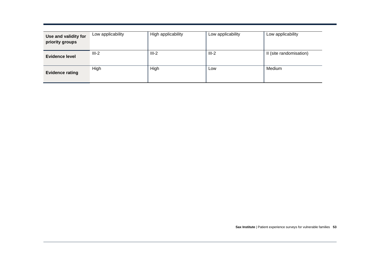| Use and validity for<br>priority groups | Low applicability | High applicability | Low applicability | Low applicability       |
|-----------------------------------------|-------------------|--------------------|-------------------|-------------------------|
| <b>Evidence level</b>                   | $III-2$           | $III-2$            | $III-2$           | II (site randomisation) |
| <b>Evidence rating</b>                  | High              | High               | Low               | Medium                  |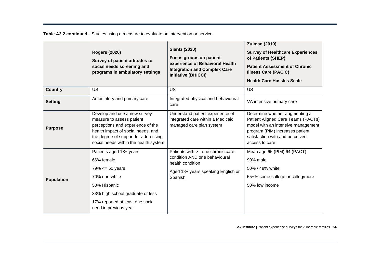**Table A3.2 continued**—Studies using a measure to evaluate an intervention or service

|                   | <b>Rogers (2020)</b><br>Survey of patient attitudes to<br>social needs screening and<br>programs in ambulatory settings                                                                                               | <b>Siantz (2020)</b><br><b>Focus groups on patient</b><br>experience of Behavioral Health<br><b>Integration and Complex Care</b><br><b>Initiative (BHICCI)</b> | <b>Zulman (2019)</b><br><b>Survey of Healthcare Experiences</b><br>of Patients (SHEP)<br><b>Patient Assessment of Chronic</b><br><b>Illness Care (PACIC)</b><br><b>Health Care Hassles Scale</b>   |
|-------------------|-----------------------------------------------------------------------------------------------------------------------------------------------------------------------------------------------------------------------|----------------------------------------------------------------------------------------------------------------------------------------------------------------|----------------------------------------------------------------------------------------------------------------------------------------------------------------------------------------------------|
| <b>Country</b>    | <b>US</b>                                                                                                                                                                                                             | US                                                                                                                                                             | US                                                                                                                                                                                                 |
| <b>Setting</b>    | Ambulatory and primary care                                                                                                                                                                                           | Integrated physical and behavioural<br>care                                                                                                                    | VA intensive primary care                                                                                                                                                                          |
| <b>Purpose</b>    | Develop and use a new survey<br>measure to assess patient<br>perceptions and experience of the<br>health impact of social needs, and<br>the degree of support for addressing<br>social needs within the health system | Understand patient experience of<br>integrated care within a Medicaid<br>managed care plan system                                                              | Determine whether augmenting a<br>Patient Aligned Care Teams (PACTs)<br>model with an intensive management<br>program (PIM) increases patient<br>satisfaction with and perceived<br>access to care |
| <b>Population</b> | Patients aged 18+ years<br>66% female<br>$79\% < 60$ years<br>70% non-white<br>50% Hispanic<br>33% high school graduate or less<br>17% reported at least one social<br>need in previous year                          | Patients with >= one chronic care<br>condition AND one behavioural<br>health condition<br>Aged 18+ years speaking English or<br>Spanish                        | Mean age 65 (PIM) 64 (PACT)<br>90% male<br>50% / 48% white<br>55+% some college or colleg/more<br>50% low income                                                                                   |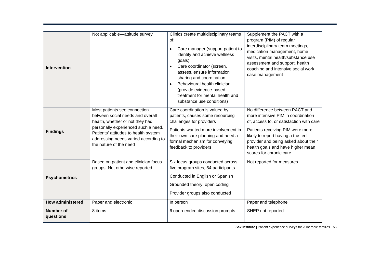| <b>Intervention</b>           | Not applicable-attitude survey                                                                                                                                                                                                                       | Clinics create multidisciplinary teams<br>of:<br>Care manager (support patient to<br>identify and achieve wellness<br>goals)<br>Care coordinator (screen,<br>assess, ensure information<br>sharing and coordination<br>Behavioural health clinician<br>(provide evidence-based<br>treatment for mental health and<br>substance use conditions) | Supplement the PACT with a<br>program (PIM) of regular<br>interdisciplinary team meetings,<br>medication management, home<br>visits, mental health/substance use<br>assessment and support, health<br>coaching and intensive social work<br>case management                                       |
|-------------------------------|------------------------------------------------------------------------------------------------------------------------------------------------------------------------------------------------------------------------------------------------------|------------------------------------------------------------------------------------------------------------------------------------------------------------------------------------------------------------------------------------------------------------------------------------------------------------------------------------------------|---------------------------------------------------------------------------------------------------------------------------------------------------------------------------------------------------------------------------------------------------------------------------------------------------|
| <b>Findings</b>               | Most patients see connection<br>between social needs and overall<br>health, whether or not they had<br>personally experienced such a need.<br>Patients' attitudes to health system<br>addressing needs varied according to<br>the nature of the need | Care coordination is valued by<br>patients, causes some resourcing<br>challenges for providers<br>Patients wanted more involvement in<br>their own care planning and need a<br>formal mechanism for conveying<br>feedback to providers                                                                                                         | No difference between PACT and<br>more intensive PIM in coordination<br>of, access to, or satisfaction with care<br>Patients receiving PIM were more<br>likely to report having a trusted<br>provider and being asked about their<br>health goals and have higher mean<br>scores for chronic care |
| <b>Psychometrics</b>          | Based on patient and clinician focus<br>groups. Not otherwise reported                                                                                                                                                                               | Six focus groups conducted across<br>five program sites, 54 participants<br>Conducted in English or Spanish<br>Grounded theory, open coding<br>Provider groups also conducted                                                                                                                                                                  | Not reported for measures                                                                                                                                                                                                                                                                         |
| <b>How administered</b>       | Paper and electronic                                                                                                                                                                                                                                 | In person                                                                                                                                                                                                                                                                                                                                      | Paper and telephone                                                                                                                                                                                                                                                                               |
| <b>Number of</b><br>questions | 8 items                                                                                                                                                                                                                                              | 6 open-ended discussion prompts                                                                                                                                                                                                                                                                                                                | SHEP not reported                                                                                                                                                                                                                                                                                 |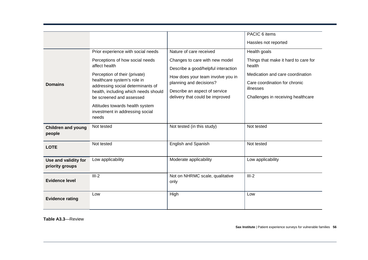| <b>Domains</b>                          | Prior experience with social needs<br>Perceptions of how social needs<br>affect health<br>Perception of their (private)<br>healthcare system's role in<br>addressing social determinants of | Nature of care received<br>Changes to care with new model<br>Describe a good/helpful interaction<br>How does your team involve you in<br>planning and decisions? | PACIC 6 items<br>Hassles not reported<br>Health goals<br>Things that make it hard to care for<br>health<br>Medication and care coordination<br>Care coordination for chronic |
|-----------------------------------------|---------------------------------------------------------------------------------------------------------------------------------------------------------------------------------------------|------------------------------------------------------------------------------------------------------------------------------------------------------------------|------------------------------------------------------------------------------------------------------------------------------------------------------------------------------|
|                                         | health, including which needs should<br>be screened and assessed<br>Attitudes towards health system<br>investment in addressing social<br>needs                                             | Describe an aspect of service<br>delivery that could be improved                                                                                                 | illnesses<br>Challenges in receiving healthcare                                                                                                                              |
| <b>Children and young</b><br>people     | Not tested                                                                                                                                                                                  | Not tested (in this study)                                                                                                                                       | Not tested                                                                                                                                                                   |
| <b>LOTE</b>                             | Not tested                                                                                                                                                                                  | English and Spanish                                                                                                                                              | Not tested                                                                                                                                                                   |
| Use and validity for<br>priority groups | Low applicability                                                                                                                                                                           | Moderate applicability                                                                                                                                           | Low applicability                                                                                                                                                            |
| <b>Evidence level</b>                   | $III-2$                                                                                                                                                                                     | Not on NHRMC scale, qualitative<br>only                                                                                                                          | $III-2$                                                                                                                                                                      |
| <b>Evidence rating</b>                  | Low                                                                                                                                                                                         | High                                                                                                                                                             | Low                                                                                                                                                                          |

**Table A3.3**—Review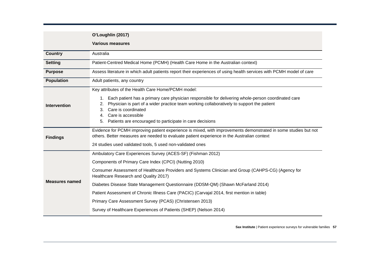|                       | O'Loughlin (2017)                                                                                                                                                                                                                                                                                                                      |  |  |
|-----------------------|----------------------------------------------------------------------------------------------------------------------------------------------------------------------------------------------------------------------------------------------------------------------------------------------------------------------------------------|--|--|
|                       | <b>Various measures</b>                                                                                                                                                                                                                                                                                                                |  |  |
| <b>Country</b>        | Australia                                                                                                                                                                                                                                                                                                                              |  |  |
| <b>Setting</b>        | Patient-Centred Medical Home (PCMH) (Health Care Home in the Australian context)                                                                                                                                                                                                                                                       |  |  |
| <b>Purpose</b>        | Assess literature in which adult patients report their experiences of using health services with PCMH model of care                                                                                                                                                                                                                    |  |  |
| <b>Population</b>     | Adult patients, any country                                                                                                                                                                                                                                                                                                            |  |  |
|                       | Key attributes of the Health Care Home/PCMH model:                                                                                                                                                                                                                                                                                     |  |  |
| <b>Intervention</b>   | Each patient has a primary care physician responsible for delivering whole-person coordinated care<br>1.<br>Physician is part of a wider practice team working collaboratively to support the patient<br>2.<br>Care is coordinated<br>3.<br>Care is accessible<br>4.<br>Patients are encouraged to participate in care decisions<br>5. |  |  |
| <b>Findings</b>       | Evidence for PCMH improving patient experience is mixed, with improvements demonstrated in some studies but not<br>others. Better measures are needed to evaluate patient experience in the Australian context                                                                                                                         |  |  |
|                       | 24 studies used validated tools, 5 used non-validated ones                                                                                                                                                                                                                                                                             |  |  |
|                       | Ambulatory Care Experiences Survey (ACES-SF) (Fishman 2012)                                                                                                                                                                                                                                                                            |  |  |
|                       | Components of Primary Care Index (CPCI) (Nutting 2010)                                                                                                                                                                                                                                                                                 |  |  |
|                       | Consumer Assessment of Healthcare Providers and Systems Clinician and Group (CAHPS-CG) (Agency for<br>Healthcare Research and Quality 2017)                                                                                                                                                                                            |  |  |
| <b>Measures named</b> | Diabetes Disease State Management Questionnaire (DDSM-QM) (Shawn McFarland 2014)                                                                                                                                                                                                                                                       |  |  |
|                       | Patient Assessment of Chronic Illness Care (PACIC) (Carvajal 2014, first mention in table)                                                                                                                                                                                                                                             |  |  |
|                       | Primary Care Assessment Survey (PCAS) (Christensen 2013)                                                                                                                                                                                                                                                                               |  |  |
|                       | Survey of Healthcare Experiences of Patients (SHEP) (Nelson 2014)                                                                                                                                                                                                                                                                      |  |  |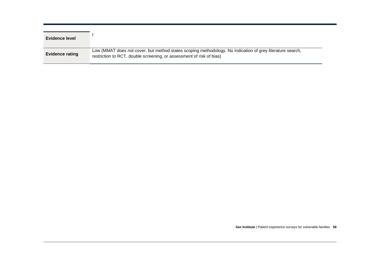| <b>Evidence level</b>  |                                                                                                                                                                                   |
|------------------------|-----------------------------------------------------------------------------------------------------------------------------------------------------------------------------------|
| <b>Evidence rating</b> | Low (MMAT does not cover, but method states scoping methodology. No indication of grey literature search,<br>restriction to RCT, double screening, or assessment of risk of bias) |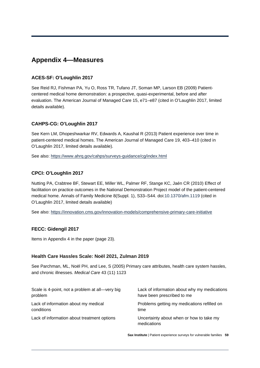## <span id="page-60-0"></span>**Appendix 4—Measures**

#### **ACES-SF: O'Loughlin 2017**

See Reid RJ, Fishman PA, Yu O, Ross TR, Tufano JT, Soman MP, Larson EB (2009) Patientcentered medical home demonstration: a prospective, quasi-experimental, before and after evaluation. The American Journal of Managed Care 15, e71–e87 (cited in O'Laughlin 2017, limited details available).

#### **CAHPS-CG: O'Loughlin 2017**

See Kern LM, Dhopeshwarkar RV, Edwards A, Kaushal R (2013) Patient experience over time in patient-centered medical homes. The American Journal of Managed Care 19, 403–410 (cited in O'Laughlin 2017, limited details available).

See also:<https://www.ahrq.gov/cahps/surveys-guidance/cg/index.html>

#### **CPCI: O'Loughlin 2017**

Nutting PA, Crabtree BF, Stewart EE, Miller WL, Palmer RF, Stange KC, Jaén CR (2010) Effect of facilitation on practice outcomes in the National Demonstration Project model of the patient-centered medical home. Annals of Family Medicine 8(Suppl. 1), S33–S44. doi:10.1370/afm.1119 (cited in O'Laughlin 2017, limited details available)

See also:<https://innovation.cms.gov/innovation-models/comprehensive-primary-care-initiative>

#### **FECC: Gidengil 2017**

Items in Appendix 4 in the paper (page 23).

#### **Health Care Hassles Scale: Noël 2021, Zulman 2019**

See Parchman, ML, Noël PH, and Lee, S (2005) Primary care attributes, health care system hassles, and chronic illnesses. *Medical Care* 43 (11) 1123

| Scale is 4-point, not a problem at all—very big | Lack of information about why my medications            |
|-------------------------------------------------|---------------------------------------------------------|
| problem                                         | have been prescribed to me                              |
| Lack of information about my medical            | Problems getting my medications refilled on             |
| conditions                                      | time                                                    |
| Lack of information about treatment options     | Uncertainty about when or how to take my<br>medications |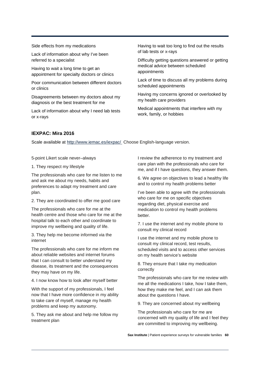Side effects from my medications

Lack of information about why I've been referred to a specialist

Having to wait a long time to get an appointment for specialty doctors or clinics

Poor communication between different doctors or clinics

Disagreements between my doctors about my diagnosis or the best treatment for me

Lack of information about why I need lab tests or x-rays

Having to wait too long to find out the results of lab tests or x-rays

Difficulty getting questions answered or getting medical advice between scheduled appointments

Lack of time to discuss all my problems during scheduled appointments

Having my concerns ignored or overlooked by my health care providers

Medical appointments that interfere with my work, family, or hobbies

#### **IEXPAC: Mira 2016**

Scale available at<http://www.iemac.es/iexpac/> Choose English-language version.

5-point Likert scale never–always

1. They respect my lifestyle

The professionals who care for me listen to me and ask me about my needs, habits and preferences to adapt my treatment and care plan.

2. They are coordinated to offer me good care

The professionals who care for me at the health centre and those who care for me at the hospital talk to each other and coordinate to improve my wellbeing and quality of life.

3. They help me become informed via the internet

The professionals who care for me inform me about reliable websites and internet forums that I can consult to better understand my disease, its treatment and the consequences they may have on my life.

4. I now know how to look after myself better

With the support of my professionals, I feel now that I have more confidence in my ability to take care of myself, manage my health problems and keep my autonomy.

5. They ask me about and help me follow my treatment plan

I review the adherence to my treatment and care plan with the professionals who care for me, and if I have questions, they answer them.

6. We agree on objectives to lead a healthy life and to control my health problems better

I've been able to agree with the professionals who care for me on specific objectives regarding diet, physical exercise and medication to control my health problems better.

7. I use the internet and my mobile phone to consult my clinical record

I use the internet and my mobile phone to consult my clinical record, test results, scheduled visits and to access other services on my health service's website

8. They ensure that I take my medication correctly

The professionals who care for me review with me all the medications I take, how I take them, how they make me feel, and I can ask them about the questions I have.

9. They are concerned about my wellbeing

The professionals who care for me are concerned with my quality of life and I feel they are committed to improving my wellbeing.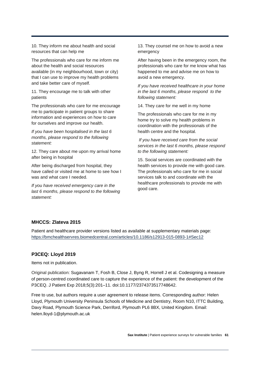10. They inform me about health and social resources that can help me

The professionals who care for me inform me about the health and social resources available (in my neighbourhood, town or city) that I can use to improve my health problems and take better care of myself.

11. They encourage me to talk with other patients

The professionals who care for me encourage me to participate in patient groups to share information and experiences on how to care for ourselves and improve our health.

*If you have been hospitalised in the last 6 months, please respond to the following statement:* 

12. They care about me upon my arrival home after being in hospital

After being discharged from hospital, they have called or visited me at home to see how I was and what care I needed.

*If you have received emergency care in the last 6 months, please respond to the following statement:* 

13. They counsel me on how to avoid a new emergency

After having been in the emergency room, the professionals who care for me know what has happened to me and advise me on how to avoid a new emergency.

*If you have received healthcare in your home in the last 6 months, please respond to the following statement:* 

14. They care for me well in my home

The professionals who care for me in my home try to solve my health problems in coordination with the professionals of the health centre and the hospital.

*If you have received care from the social services in the last 6 months, please respond to the following statement:* 

15. Social services are coordinated with the health services to provide me with good care. The professionals who care for me in social services talk to and coordinate with the healthcare professionals to provide me with good care.

#### **MHCCS: Zlateva 2015**

Patient and healthcare provider versions listed as available at supplementary materials page: <https://bmchealthservres.biomedcentral.com/articles/10.1186/s12913-015-0893-1#Sec12>

#### **P3CEQ: Lloyd 2019**

Items not in publication.

Original publication: Sugavanam T, Fosh B, Close J, Byng R, Horrell J et al. Codesigning a measure of person-centred coordinated care to capture the experience of the patient: the development of the P3CEQ. J Patient Exp 2018;5(3):201–11. doi:10.1177/2374373517748642.

Free to use, but authors require a user agreement to release items. Corresponding author: Helen Lloyd, Plymouth University Peninsula Schools of Medicine and Dentistry, Room N10, ITTC Building, Davy Road, Plymouth Science Park, Derriford, Plymouth PL6 8BX, United Kingdom. Email: helen.lloyd-1@plymouth.ac.uk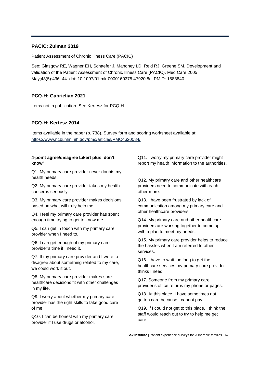#### **PACIC: Zulman 2019**

Patient Assessment of Chronic Illness Care (PACIC)

See: Glasgow RE, Wagner EH, Schaefer J, Mahoney LD, Reid RJ, Greene SM. Development and validation of the Patient Assessment of Chronic Illness Care (PACIC). Med Care 2005 May;43(5):436–44. doi: 10.1097/01.mlr.0000160375.47920.8c. PMID: 1583840.

#### **PCQ-H: Gabrielian 2021**

Items not in publication. See Kertesz for PCQ-H.

#### **PCQ-H: Kertesz 2014**

Items available in the paper (p. 738). Survey form and scoring worksheet available at: <https://www.ncbi.nlm.nih.gov/pmc/articles/PMC4620084/>

#### **4-point agree/disagree Likert plus 'don't know'**

Q1. My primary care provider never doubts my health needs.

Q2. My primary care provider takes my health concerns seriously.

Q3. My primary care provider makes decisions based on what will truly help me.

Q4. I feel my primary care provider has spent enough time trying to get to know me.

Q5. I can get in touch with my primary care provider when I need to.

Q6. I can get enough of my primary care provider's time if I need it.

Q7. If my primary care provider and I were to disagree about something related to my care, we could work it out.

Q8. My primary care provider makes sure healthcare decisions fit with other challenges in my life.

Q9. I worry about whether my primary care provider has the right skills to take good care of me.

Q10. I can be honest with my primary care provider if I use drugs or alcohol.

Q11. I worry my primary care provider might report my health information to the authorities.

Q12. My primary care and other healthcare providers need to communicate with each other more.

Q13. I have been frustrated by lack of communication among my primary care and other healthcare providers.

Q14. My primary care and other healthcare providers are working together to come up with a plan to meet my needs.

Q15. My primary care provider helps to reduce the hassles when I am referred to other services.

Q16. I have to wait too long to get the healthcare services my primary care provider thinks I need.

Q17. Someone from my primary care provider's office returns my phone or pages.

Q18. At this place, I have sometimes not gotten care because I cannot pay.

Q19. If I could not get to this place, I think the staff would reach out to try to help me get care.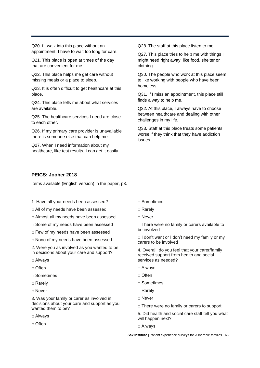Q20. f I walk into this place without an appointment, I have to wait too long for care.

Q21. This place is open at times of the day that are convenient for me.

Q22. This place helps me get care without missing meals or a place to sleep.

Q23. It is often difficult to get healthcare at this place.

Q24. This place tells me about what services are available.

Q25. The healthcare services I need are close to each other.

Q26. If my primary care provider is unavailable there is someone else that can help me.

Q27. When I need information about my healthcare, like test results, I can get it easily. Q28. The staff at this place listen to me.

Q27. This place tries to help me with things I might need right away, like food, shelter or clothing.

Q30. The people who work at this place seem to like working with people who have been homeless.

Q31. If I miss an appointment, this place still finds a way to help me.

Q32. At this place, I always have to choose between healthcare and dealing with other challenges in my life.

Q33. Staff at this place treats some patients worse if they think that they have addiction issues.

#### **PEICS: Joober 2018**

Items available (English version) in the paper, p3.

- 1. Have all your needs been assessed?
- □ All of my needs have been assessed
- □ Almost all my needs have been assessed
- □ Some of my needs have been assessed
- □ Few of my needs have been assessed
- □ None of my needs have been assessed

2. Were you as involved as you wanted to be in decisions about your care and support?

- □ Always
- □ Often
- □ Sometimes
- □ Rarely
- □ Never

3. Was your family or carer as involved in decisions about your care and support as you wanted them to be?

□ Always

□ Often

- □ Sometimes
- □ Rarely
- □ Never

□ There were no family or carers available to be involved

 $\Box$  I don't want or I don't need my family or my carers to be involved

4. Overall, do you feel that your carer/family received support from health and social services as needed?

- □ Always
- □ Often
- □ Sometimes
- □ Rarely
- □ Never
- □ There were no family or carers to support

5. Did health and social care staff tell you what will happen next?

□ Always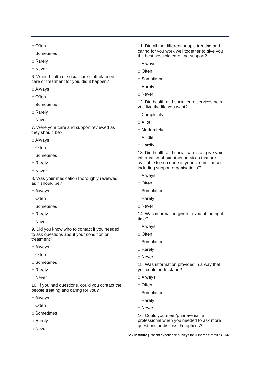□ Often

- □ Sometimes
- □ Rarely
- □ Never

6. When health or social care staff planned care or treatment for you, did it happen?

- □ Always
- □ Often
- □ Sometimes
- □ Rarely
- □ Never

7. Were your care and support reviewed as they should be?

- □ Always
- □ Often
- □ Sometimes
- □ Rarely
- □ Never

8. Was your medication thoroughly reviewed as it should be?

- □ Always
- □ Often
- □ Sometimes
- □ Rarely
- □ Never

9. Did you know who to contact if you needed to ask questions about your condition or treatment?

- □ Alwavs
- □ Often
- □ Sometimes
- □ Rarely
- □ Never

10. If you had questions, could you contact the people treating and caring for you?

- □ Always
- □ Often
- □ Sometimes
- □ Rarely
- □ Never

11. Did all the different people treating and caring for you work well together to give you the best possible care and support?

- □ Always
- □ Often
- □ Sometimes
- □ Rarely
- □ Never

12. Did health and social care services help you live the life you want?

- □ Completely
- □ A lot
- □ Moderately
- $\Box$  A little
- □ Hardly

13. Did health and social care staff give you information about other services that are available to someone in your circumstances, including support organisations'?

- □ Always
- □ Often
- □ Sometimes
- □ Rarely
- □ Never

14. Was information given to you at the right time?

- □ Always
- □ Often
- □ Sometimes
- □ Rarely
- □ Never

15. Was information provided in a way that you could understand?

- □ Always
- □ Often
- □ Sometimes
- □ Rarely
- □ Never

16. Could you meet/phone/email a professional when you needed to ask more questions or discuss the options?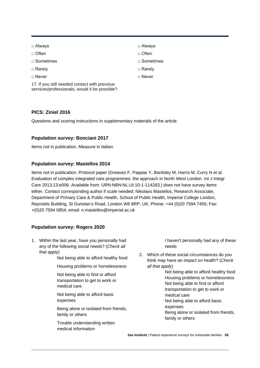| Always |
|--------|
|--------|

- □ Often
- □ Sometimes
- □ Rarely
- □ Never

17. If you still needed contact with previous services/professionals, would it be possible?

#### **PICS: Ziniel 2016**

Questions and scoring instructions in supplementary materials of the article.

#### **Population survey: Bonciani 2017**

Items not in publication. Measure in Italian.

#### **Population survey: Mastellos 2014**

Items not in publication. Protocol paper (Greaves F, Pappas Y, Bardsley M, Harris M, Curry N et al. Evaluation of complex integrated care programmes: the approach in North West London. Int J Integr Care 2013;13:e006. Available from: URN:NBN:NL:UI:10-1-114283.) does not have survey items either. Contact corresponding author if scale needed: Nikolaos Mastellos, Research Associate, Department of Primary Care & Public Health, School of Public Health, Imperial College London, Reynolds Building, St Dunstan's Road, London W6 8RP, UK, Phone: +44 (0)20 7594 7455; Fax: +(0)20 7594 0854, email: n.mastellos@imperial.ac.uk

#### **Population survey: Rogers 2020**

1. Within the last year, have you personally had any of the following social needs? (*Check all that apply*)

Not being able to afford healthy food

Housing problems or homelessness

Not being able to find or afford transportation to get to work or medical care

Not being able to afford basic expenses

Being alone or isolated from friends, family or others

Trouble understanding written medical information

I haven't personally had any of these needs

2. Which of these social circumstances do you think may have an impact on health? (*Check all that apply*)

> Not being able to afford healthy food Housing problems or homelessness Not being able to find or afford transportation to get to work or medical care Not being able to afford basic expenses Being alone or isolated from friends, family or others

- □ Always
- □ Often
- □ Sometimes
- □ Rarely
- □ Never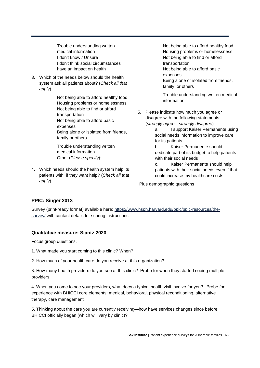Trouble understanding written medical information I don't know / Unsure I don't think social circumstances have an impact on health

3. Which of the needs below should the health system ask all patients about? (*Check all that apply*)

> Not being able to afford healthy food Housing problems or homelessness Not being able to find or afford transportation Not being able to afford basic expenses Being alone or isolated from friends, family or others

Trouble understanding written medical information Other (*Please specify*):

4. Which needs should the health system help its patients with, if they want help? (*Check all that apply*)

Not being able to afford healthy food Housing problems or homelessness Not being able to find or afford transportation Not being able to afford basic expenses Being alone or isolated from friends, family, or others

Trouble understanding written medical information

- 5. Please indicate how much you agree or disagree with the following statements: (*strongly agree—strongly disagree*)
	- a. I support Kaiser Permanente using social needs information to improve care for its patients
	- b. Kaiser Permanente should dedicate part of its budget to help patients with their social needs
	- c. Kaiser Permanente should help patients with their social needs even if that could increase my healthcare costs

Plus demographic questions

#### **PPIC: Singer 2013**

Survey (print-ready format) available here: [https://www.hsph.harvard.edu/ppic/ppic-resources/the](https://www.hsph.harvard.edu/ppic/ppic-resources/the-survey/)[survey/](https://www.hsph.harvard.edu/ppic/ppic-resources/the-survey/) with contact details for scoring instructions.

#### **Qualitative measure: Siantz 2020**

Focus group questions.

- 1. What made you start coming to this clinic? When?
- 2. How much of your health care do you receive at this organization?

3. How many health providers do you see at this clinic? Probe for when they started seeing multiple providers.

4. When you come to see your providers, what does a typical health visit involve for you? Probe for experience with BHICCI core elements: medical, behavioral, physical reconditioning, alternative therapy, care management

5. Thinking about the care you are currently receiving—how have services changes since before BHICCI officially began (which will vary by clinic)?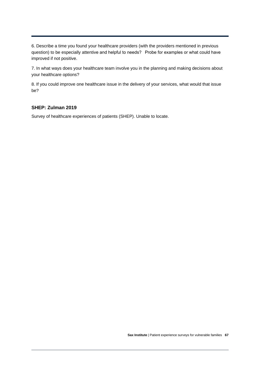6. Describe a time you found your healthcare providers (with the providers mentioned in previous question) to be especially attentive and helpful to needs? Probe for examples or what could have improved if not positive.

7. In what ways does your healthcare team involve you in the planning and making decisions about your healthcare options?

8. If you could improve one healthcare issue in the delivery of your services, what would that issue be?

#### **SHEP: Zulman 2019**

Survey of healthcare experiences of patients (SHEP). Unable to locate.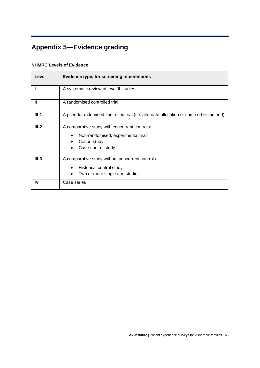## <span id="page-69-0"></span>**Appendix 5—Evidence grading**

#### **NHMRC Levels of Evidence**

| Level   | Evidence type, for screening interventions                                                                                |  |
|---------|---------------------------------------------------------------------------------------------------------------------------|--|
|         | A systematic review of level II studies                                                                                   |  |
| Ш       | A randomised controlled trial                                                                                             |  |
| $III-1$ | A pseudorandomised controlled trial (i.e. alternate allocation or some other method)                                      |  |
| $III-2$ | A comparative study with concurrent controls:<br>Non-randomised, experimental trial<br>Cohort study<br>Case-control study |  |
| $III-3$ | A comparative study without concurrent controls:<br>Historical control study<br>Two or more single arm studies            |  |
| IV      | Case series                                                                                                               |  |